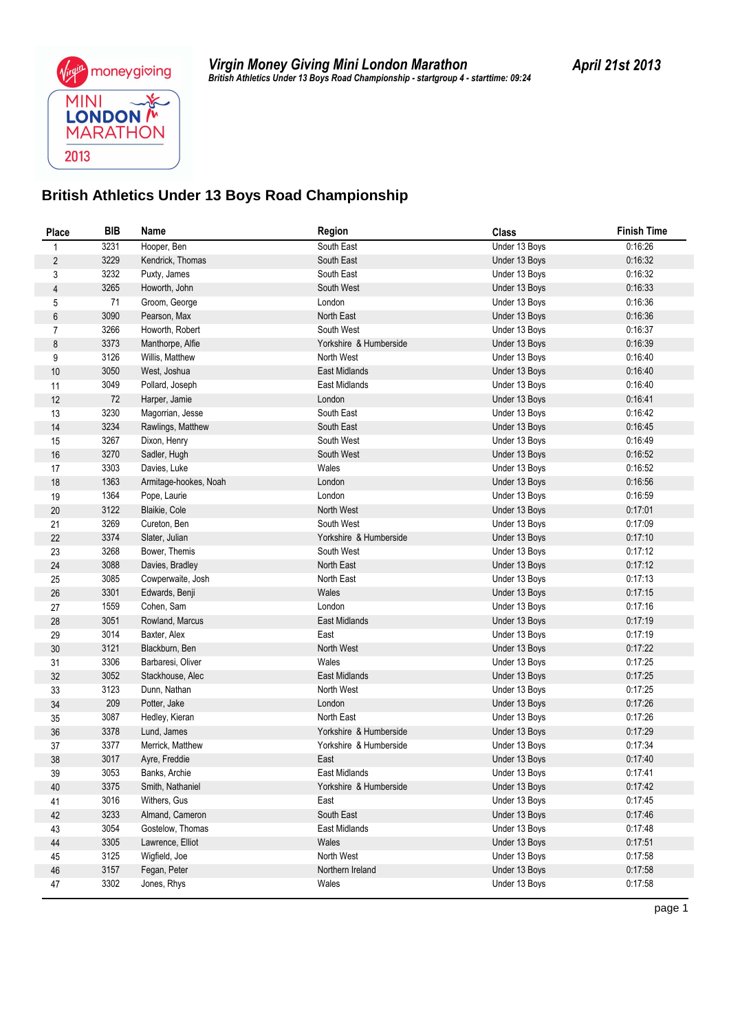#### **British Athletics Under 13 Boys Road Championship**

| 3231<br>0:16:26<br>Hooper, Ben<br>South East<br>Under 13 Boys<br>1<br>$\overline{c}$<br>3229<br>0:16:32<br>Kendrick, Thomas<br>South East<br>Under 13 Boys<br>3232<br>3<br>Puxty, James<br>South East<br>Under 13 Boys<br>0:16:32<br>3265<br>4<br>South West<br>0:16:33<br>Howorth, John<br>Under 13 Boys<br>71<br>0:16:36<br>5<br>Groom, George<br>London<br>Under 13 Boys<br>3090<br>$\boldsymbol{6}$<br>Pearson, Max<br>North East<br>0:16:36<br>Under 13 Boys<br>3266<br>$\overline{7}$<br>Howorth, Robert<br>South West<br>0:16:37<br>Under 13 Boys<br>0:16:39<br>$\bf 8$<br>3373<br>Yorkshire & Humberside<br>Manthorpe, Alfie<br>Under 13 Boys<br>3126<br>9<br>North West<br>0.16.40<br>Willis, Matthew<br>Under 13 Boys<br>3050<br>0:16:40<br>$10$<br>East Midlands<br>Under 13 Boys<br>West, Joshua<br>3049<br>0:16:40<br>Pollard, Joseph<br>East Midlands<br>Under 13 Boys<br>11<br>12<br>72<br>London<br>0.16.41<br>Harper, Jamie<br>Under 13 Boys<br>3230<br>South East<br>0.16.42<br>13<br>Magorrian, Jesse<br>Under 13 Boys<br>3234<br>South East<br>0.16.45<br>14<br>Rawlings, Matthew<br>Under 13 Boys<br>3267<br>0:16:49<br>South West<br>15<br>Dixon, Henry<br>Under 13 Boys<br>3270<br>0:16:52<br>$16\,$<br>South West<br>Sadler, Hugh<br>Under 13 Boys<br>3303<br>Wales<br>0:16:52<br>17<br>Davies, Luke<br>Under 13 Boys<br>1363<br>0:16:56<br>Under 13 Boys<br>18<br>Armitage-hookes, Noah<br>London<br>1364<br>London<br>19<br>Under 13 Boys<br>0:16:59<br>Pope, Laurie<br>3122<br>North West<br>0.17:01<br>20<br>Blaikie, Cole<br>Under 13 Boys<br>3269<br>South West<br>0:17:09<br>21<br>Cureton, Ben<br>Under 13 Boys<br>3374<br>$22\,$<br>Yorkshire & Humberside<br>0.17:10<br>Slater, Julian<br>Under 13 Boys<br>3268<br>Bower, Themis<br>South West<br>0.17:12<br>23<br>Under 13 Boys<br>$24\,$<br>3088<br>0:17:12<br>North East<br>Davies, Bradley<br>Under 13 Boys<br>3085<br>25<br>North East<br>Under 13 Boys<br>0.17:13<br>Cowperwaite, Josh<br>3301<br>0:17:15<br>Wales<br>26<br>Edwards, Benji<br>Under 13 Boys<br>London<br>1559<br>Under 13 Boys<br>0.17:16<br>27<br>Cohen, Sam<br>3051<br>0:17:19<br>East Midlands<br>28<br>Rowland, Marcus<br>Under 13 Boys<br>3014<br>Baxter, Alex<br>East<br>0.17:19<br>29<br>Under 13 Boys<br>3121<br>North West<br>30<br>Blackburn, Ben<br>0.17:22<br>Under 13 Boys<br>3306<br>31<br>Barbaresi, Oliver<br>Wales<br>0:17:25<br>Under 13 Boys<br>3052<br>32<br>Stackhouse, Alec<br>East Midlands<br>0:17:25<br>Under 13 Boys<br>3123<br>Dunn, Nathan<br>North West<br>0:17:25<br>33<br>Under 13 Boys<br>209<br>London<br>0.17:26<br>34<br>Potter, Jake<br>Under 13 Boys<br>3087<br>North East<br>0:17:26<br>35<br>Hedley, Kieran<br>Under 13 Boys<br>3378<br>0:17:29<br>36<br>Lund, James<br>Yorkshire & Humberside<br>Under 13 Boys<br>3377<br>0:17:34<br>37<br>Merrick, Matthew<br>Yorkshire & Humberside<br>Under 13 Boys<br>38<br>3017<br>Ayre, Freddie<br>East<br>Under 13 Boys<br>0.17:40<br>39<br>3053<br>Banks, Archie<br>East Midlands<br>Under 13 Boys<br>0:17:41<br>3375<br>Smith, Nathaniel<br>Yorkshire & Humberside<br>Under 13 Boys<br>0:17:42<br>40<br>3016<br>0:17:45<br>Withers, Gus<br>East<br>Under 13 Boys<br>41<br>3233<br>South East<br>0.17:46<br>Almand, Cameron<br>Under 13 Boys<br>42<br>3054<br>Gostelow, Thomas<br>East Midlands<br>Under 13 Boys<br>0:17:48<br>43<br>44<br>3305<br>Wales<br>0:17:51<br>Lawrence, Elliot<br>Under 13 Boys<br>3125<br>North West<br>45<br>Wigfield, Joe<br>Under 13 Boys<br>0:17:58<br>3157<br>0:17:58<br>Fegan, Peter<br>Northern Ireland<br>Under 13 Boys<br>$46\,$<br>3302<br>Jones, Rhys<br>Wales<br>Under 13 Boys<br>0:17:58<br>47 | <b>Place</b> | BIB | Name | Region | <b>Class</b> | <b>Finish Time</b> |
|-------------------------------------------------------------------------------------------------------------------------------------------------------------------------------------------------------------------------------------------------------------------------------------------------------------------------------------------------------------------------------------------------------------------------------------------------------------------------------------------------------------------------------------------------------------------------------------------------------------------------------------------------------------------------------------------------------------------------------------------------------------------------------------------------------------------------------------------------------------------------------------------------------------------------------------------------------------------------------------------------------------------------------------------------------------------------------------------------------------------------------------------------------------------------------------------------------------------------------------------------------------------------------------------------------------------------------------------------------------------------------------------------------------------------------------------------------------------------------------------------------------------------------------------------------------------------------------------------------------------------------------------------------------------------------------------------------------------------------------------------------------------------------------------------------------------------------------------------------------------------------------------------------------------------------------------------------------------------------------------------------------------------------------------------------------------------------------------------------------------------------------------------------------------------------------------------------------------------------------------------------------------------------------------------------------------------------------------------------------------------------------------------------------------------------------------------------------------------------------------------------------------------------------------------------------------------------------------------------------------------------------------------------------------------------------------------------------------------------------------------------------------------------------------------------------------------------------------------------------------------------------------------------------------------------------------------------------------------------------------------------------------------------------------------------------------------------------------------------------------------------------------------------------------------------------------------------------------------------------------------------------------------------------------------------------------------------------------------------------------------------------------------------------------------------------------------------------------------------------------------------------------------------------------------------------------------------------------------------------------------------------------------------------------------------|--------------|-----|------|--------|--------------|--------------------|
|                                                                                                                                                                                                                                                                                                                                                                                                                                                                                                                                                                                                                                                                                                                                                                                                                                                                                                                                                                                                                                                                                                                                                                                                                                                                                                                                                                                                                                                                                                                                                                                                                                                                                                                                                                                                                                                                                                                                                                                                                                                                                                                                                                                                                                                                                                                                                                                                                                                                                                                                                                                                                                                                                                                                                                                                                                                                                                                                                                                                                                                                                                                                                                                                                                                                                                                                                                                                                                                                                                                                                                                                                                                                               |              |     |      |        |              |                    |
|                                                                                                                                                                                                                                                                                                                                                                                                                                                                                                                                                                                                                                                                                                                                                                                                                                                                                                                                                                                                                                                                                                                                                                                                                                                                                                                                                                                                                                                                                                                                                                                                                                                                                                                                                                                                                                                                                                                                                                                                                                                                                                                                                                                                                                                                                                                                                                                                                                                                                                                                                                                                                                                                                                                                                                                                                                                                                                                                                                                                                                                                                                                                                                                                                                                                                                                                                                                                                                                                                                                                                                                                                                                                               |              |     |      |        |              |                    |
|                                                                                                                                                                                                                                                                                                                                                                                                                                                                                                                                                                                                                                                                                                                                                                                                                                                                                                                                                                                                                                                                                                                                                                                                                                                                                                                                                                                                                                                                                                                                                                                                                                                                                                                                                                                                                                                                                                                                                                                                                                                                                                                                                                                                                                                                                                                                                                                                                                                                                                                                                                                                                                                                                                                                                                                                                                                                                                                                                                                                                                                                                                                                                                                                                                                                                                                                                                                                                                                                                                                                                                                                                                                                               |              |     |      |        |              |                    |
|                                                                                                                                                                                                                                                                                                                                                                                                                                                                                                                                                                                                                                                                                                                                                                                                                                                                                                                                                                                                                                                                                                                                                                                                                                                                                                                                                                                                                                                                                                                                                                                                                                                                                                                                                                                                                                                                                                                                                                                                                                                                                                                                                                                                                                                                                                                                                                                                                                                                                                                                                                                                                                                                                                                                                                                                                                                                                                                                                                                                                                                                                                                                                                                                                                                                                                                                                                                                                                                                                                                                                                                                                                                                               |              |     |      |        |              |                    |
|                                                                                                                                                                                                                                                                                                                                                                                                                                                                                                                                                                                                                                                                                                                                                                                                                                                                                                                                                                                                                                                                                                                                                                                                                                                                                                                                                                                                                                                                                                                                                                                                                                                                                                                                                                                                                                                                                                                                                                                                                                                                                                                                                                                                                                                                                                                                                                                                                                                                                                                                                                                                                                                                                                                                                                                                                                                                                                                                                                                                                                                                                                                                                                                                                                                                                                                                                                                                                                                                                                                                                                                                                                                                               |              |     |      |        |              |                    |
|                                                                                                                                                                                                                                                                                                                                                                                                                                                                                                                                                                                                                                                                                                                                                                                                                                                                                                                                                                                                                                                                                                                                                                                                                                                                                                                                                                                                                                                                                                                                                                                                                                                                                                                                                                                                                                                                                                                                                                                                                                                                                                                                                                                                                                                                                                                                                                                                                                                                                                                                                                                                                                                                                                                                                                                                                                                                                                                                                                                                                                                                                                                                                                                                                                                                                                                                                                                                                                                                                                                                                                                                                                                                               |              |     |      |        |              |                    |
|                                                                                                                                                                                                                                                                                                                                                                                                                                                                                                                                                                                                                                                                                                                                                                                                                                                                                                                                                                                                                                                                                                                                                                                                                                                                                                                                                                                                                                                                                                                                                                                                                                                                                                                                                                                                                                                                                                                                                                                                                                                                                                                                                                                                                                                                                                                                                                                                                                                                                                                                                                                                                                                                                                                                                                                                                                                                                                                                                                                                                                                                                                                                                                                                                                                                                                                                                                                                                                                                                                                                                                                                                                                                               |              |     |      |        |              |                    |
|                                                                                                                                                                                                                                                                                                                                                                                                                                                                                                                                                                                                                                                                                                                                                                                                                                                                                                                                                                                                                                                                                                                                                                                                                                                                                                                                                                                                                                                                                                                                                                                                                                                                                                                                                                                                                                                                                                                                                                                                                                                                                                                                                                                                                                                                                                                                                                                                                                                                                                                                                                                                                                                                                                                                                                                                                                                                                                                                                                                                                                                                                                                                                                                                                                                                                                                                                                                                                                                                                                                                                                                                                                                                               |              |     |      |        |              |                    |
|                                                                                                                                                                                                                                                                                                                                                                                                                                                                                                                                                                                                                                                                                                                                                                                                                                                                                                                                                                                                                                                                                                                                                                                                                                                                                                                                                                                                                                                                                                                                                                                                                                                                                                                                                                                                                                                                                                                                                                                                                                                                                                                                                                                                                                                                                                                                                                                                                                                                                                                                                                                                                                                                                                                                                                                                                                                                                                                                                                                                                                                                                                                                                                                                                                                                                                                                                                                                                                                                                                                                                                                                                                                                               |              |     |      |        |              |                    |
|                                                                                                                                                                                                                                                                                                                                                                                                                                                                                                                                                                                                                                                                                                                                                                                                                                                                                                                                                                                                                                                                                                                                                                                                                                                                                                                                                                                                                                                                                                                                                                                                                                                                                                                                                                                                                                                                                                                                                                                                                                                                                                                                                                                                                                                                                                                                                                                                                                                                                                                                                                                                                                                                                                                                                                                                                                                                                                                                                                                                                                                                                                                                                                                                                                                                                                                                                                                                                                                                                                                                                                                                                                                                               |              |     |      |        |              |                    |
|                                                                                                                                                                                                                                                                                                                                                                                                                                                                                                                                                                                                                                                                                                                                                                                                                                                                                                                                                                                                                                                                                                                                                                                                                                                                                                                                                                                                                                                                                                                                                                                                                                                                                                                                                                                                                                                                                                                                                                                                                                                                                                                                                                                                                                                                                                                                                                                                                                                                                                                                                                                                                                                                                                                                                                                                                                                                                                                                                                                                                                                                                                                                                                                                                                                                                                                                                                                                                                                                                                                                                                                                                                                                               |              |     |      |        |              |                    |
|                                                                                                                                                                                                                                                                                                                                                                                                                                                                                                                                                                                                                                                                                                                                                                                                                                                                                                                                                                                                                                                                                                                                                                                                                                                                                                                                                                                                                                                                                                                                                                                                                                                                                                                                                                                                                                                                                                                                                                                                                                                                                                                                                                                                                                                                                                                                                                                                                                                                                                                                                                                                                                                                                                                                                                                                                                                                                                                                                                                                                                                                                                                                                                                                                                                                                                                                                                                                                                                                                                                                                                                                                                                                               |              |     |      |        |              |                    |
|                                                                                                                                                                                                                                                                                                                                                                                                                                                                                                                                                                                                                                                                                                                                                                                                                                                                                                                                                                                                                                                                                                                                                                                                                                                                                                                                                                                                                                                                                                                                                                                                                                                                                                                                                                                                                                                                                                                                                                                                                                                                                                                                                                                                                                                                                                                                                                                                                                                                                                                                                                                                                                                                                                                                                                                                                                                                                                                                                                                                                                                                                                                                                                                                                                                                                                                                                                                                                                                                                                                                                                                                                                                                               |              |     |      |        |              |                    |
|                                                                                                                                                                                                                                                                                                                                                                                                                                                                                                                                                                                                                                                                                                                                                                                                                                                                                                                                                                                                                                                                                                                                                                                                                                                                                                                                                                                                                                                                                                                                                                                                                                                                                                                                                                                                                                                                                                                                                                                                                                                                                                                                                                                                                                                                                                                                                                                                                                                                                                                                                                                                                                                                                                                                                                                                                                                                                                                                                                                                                                                                                                                                                                                                                                                                                                                                                                                                                                                                                                                                                                                                                                                                               |              |     |      |        |              |                    |
|                                                                                                                                                                                                                                                                                                                                                                                                                                                                                                                                                                                                                                                                                                                                                                                                                                                                                                                                                                                                                                                                                                                                                                                                                                                                                                                                                                                                                                                                                                                                                                                                                                                                                                                                                                                                                                                                                                                                                                                                                                                                                                                                                                                                                                                                                                                                                                                                                                                                                                                                                                                                                                                                                                                                                                                                                                                                                                                                                                                                                                                                                                                                                                                                                                                                                                                                                                                                                                                                                                                                                                                                                                                                               |              |     |      |        |              |                    |
|                                                                                                                                                                                                                                                                                                                                                                                                                                                                                                                                                                                                                                                                                                                                                                                                                                                                                                                                                                                                                                                                                                                                                                                                                                                                                                                                                                                                                                                                                                                                                                                                                                                                                                                                                                                                                                                                                                                                                                                                                                                                                                                                                                                                                                                                                                                                                                                                                                                                                                                                                                                                                                                                                                                                                                                                                                                                                                                                                                                                                                                                                                                                                                                                                                                                                                                                                                                                                                                                                                                                                                                                                                                                               |              |     |      |        |              |                    |
|                                                                                                                                                                                                                                                                                                                                                                                                                                                                                                                                                                                                                                                                                                                                                                                                                                                                                                                                                                                                                                                                                                                                                                                                                                                                                                                                                                                                                                                                                                                                                                                                                                                                                                                                                                                                                                                                                                                                                                                                                                                                                                                                                                                                                                                                                                                                                                                                                                                                                                                                                                                                                                                                                                                                                                                                                                                                                                                                                                                                                                                                                                                                                                                                                                                                                                                                                                                                                                                                                                                                                                                                                                                                               |              |     |      |        |              |                    |
|                                                                                                                                                                                                                                                                                                                                                                                                                                                                                                                                                                                                                                                                                                                                                                                                                                                                                                                                                                                                                                                                                                                                                                                                                                                                                                                                                                                                                                                                                                                                                                                                                                                                                                                                                                                                                                                                                                                                                                                                                                                                                                                                                                                                                                                                                                                                                                                                                                                                                                                                                                                                                                                                                                                                                                                                                                                                                                                                                                                                                                                                                                                                                                                                                                                                                                                                                                                                                                                                                                                                                                                                                                                                               |              |     |      |        |              |                    |
|                                                                                                                                                                                                                                                                                                                                                                                                                                                                                                                                                                                                                                                                                                                                                                                                                                                                                                                                                                                                                                                                                                                                                                                                                                                                                                                                                                                                                                                                                                                                                                                                                                                                                                                                                                                                                                                                                                                                                                                                                                                                                                                                                                                                                                                                                                                                                                                                                                                                                                                                                                                                                                                                                                                                                                                                                                                                                                                                                                                                                                                                                                                                                                                                                                                                                                                                                                                                                                                                                                                                                                                                                                                                               |              |     |      |        |              |                    |
|                                                                                                                                                                                                                                                                                                                                                                                                                                                                                                                                                                                                                                                                                                                                                                                                                                                                                                                                                                                                                                                                                                                                                                                                                                                                                                                                                                                                                                                                                                                                                                                                                                                                                                                                                                                                                                                                                                                                                                                                                                                                                                                                                                                                                                                                                                                                                                                                                                                                                                                                                                                                                                                                                                                                                                                                                                                                                                                                                                                                                                                                                                                                                                                                                                                                                                                                                                                                                                                                                                                                                                                                                                                                               |              |     |      |        |              |                    |
|                                                                                                                                                                                                                                                                                                                                                                                                                                                                                                                                                                                                                                                                                                                                                                                                                                                                                                                                                                                                                                                                                                                                                                                                                                                                                                                                                                                                                                                                                                                                                                                                                                                                                                                                                                                                                                                                                                                                                                                                                                                                                                                                                                                                                                                                                                                                                                                                                                                                                                                                                                                                                                                                                                                                                                                                                                                                                                                                                                                                                                                                                                                                                                                                                                                                                                                                                                                                                                                                                                                                                                                                                                                                               |              |     |      |        |              |                    |
|                                                                                                                                                                                                                                                                                                                                                                                                                                                                                                                                                                                                                                                                                                                                                                                                                                                                                                                                                                                                                                                                                                                                                                                                                                                                                                                                                                                                                                                                                                                                                                                                                                                                                                                                                                                                                                                                                                                                                                                                                                                                                                                                                                                                                                                                                                                                                                                                                                                                                                                                                                                                                                                                                                                                                                                                                                                                                                                                                                                                                                                                                                                                                                                                                                                                                                                                                                                                                                                                                                                                                                                                                                                                               |              |     |      |        |              |                    |
|                                                                                                                                                                                                                                                                                                                                                                                                                                                                                                                                                                                                                                                                                                                                                                                                                                                                                                                                                                                                                                                                                                                                                                                                                                                                                                                                                                                                                                                                                                                                                                                                                                                                                                                                                                                                                                                                                                                                                                                                                                                                                                                                                                                                                                                                                                                                                                                                                                                                                                                                                                                                                                                                                                                                                                                                                                                                                                                                                                                                                                                                                                                                                                                                                                                                                                                                                                                                                                                                                                                                                                                                                                                                               |              |     |      |        |              |                    |
|                                                                                                                                                                                                                                                                                                                                                                                                                                                                                                                                                                                                                                                                                                                                                                                                                                                                                                                                                                                                                                                                                                                                                                                                                                                                                                                                                                                                                                                                                                                                                                                                                                                                                                                                                                                                                                                                                                                                                                                                                                                                                                                                                                                                                                                                                                                                                                                                                                                                                                                                                                                                                                                                                                                                                                                                                                                                                                                                                                                                                                                                                                                                                                                                                                                                                                                                                                                                                                                                                                                                                                                                                                                                               |              |     |      |        |              |                    |
|                                                                                                                                                                                                                                                                                                                                                                                                                                                                                                                                                                                                                                                                                                                                                                                                                                                                                                                                                                                                                                                                                                                                                                                                                                                                                                                                                                                                                                                                                                                                                                                                                                                                                                                                                                                                                                                                                                                                                                                                                                                                                                                                                                                                                                                                                                                                                                                                                                                                                                                                                                                                                                                                                                                                                                                                                                                                                                                                                                                                                                                                                                                                                                                                                                                                                                                                                                                                                                                                                                                                                                                                                                                                               |              |     |      |        |              |                    |
|                                                                                                                                                                                                                                                                                                                                                                                                                                                                                                                                                                                                                                                                                                                                                                                                                                                                                                                                                                                                                                                                                                                                                                                                                                                                                                                                                                                                                                                                                                                                                                                                                                                                                                                                                                                                                                                                                                                                                                                                                                                                                                                                                                                                                                                                                                                                                                                                                                                                                                                                                                                                                                                                                                                                                                                                                                                                                                                                                                                                                                                                                                                                                                                                                                                                                                                                                                                                                                                                                                                                                                                                                                                                               |              |     |      |        |              |                    |
|                                                                                                                                                                                                                                                                                                                                                                                                                                                                                                                                                                                                                                                                                                                                                                                                                                                                                                                                                                                                                                                                                                                                                                                                                                                                                                                                                                                                                                                                                                                                                                                                                                                                                                                                                                                                                                                                                                                                                                                                                                                                                                                                                                                                                                                                                                                                                                                                                                                                                                                                                                                                                                                                                                                                                                                                                                                                                                                                                                                                                                                                                                                                                                                                                                                                                                                                                                                                                                                                                                                                                                                                                                                                               |              |     |      |        |              |                    |
|                                                                                                                                                                                                                                                                                                                                                                                                                                                                                                                                                                                                                                                                                                                                                                                                                                                                                                                                                                                                                                                                                                                                                                                                                                                                                                                                                                                                                                                                                                                                                                                                                                                                                                                                                                                                                                                                                                                                                                                                                                                                                                                                                                                                                                                                                                                                                                                                                                                                                                                                                                                                                                                                                                                                                                                                                                                                                                                                                                                                                                                                                                                                                                                                                                                                                                                                                                                                                                                                                                                                                                                                                                                                               |              |     |      |        |              |                    |
|                                                                                                                                                                                                                                                                                                                                                                                                                                                                                                                                                                                                                                                                                                                                                                                                                                                                                                                                                                                                                                                                                                                                                                                                                                                                                                                                                                                                                                                                                                                                                                                                                                                                                                                                                                                                                                                                                                                                                                                                                                                                                                                                                                                                                                                                                                                                                                                                                                                                                                                                                                                                                                                                                                                                                                                                                                                                                                                                                                                                                                                                                                                                                                                                                                                                                                                                                                                                                                                                                                                                                                                                                                                                               |              |     |      |        |              |                    |
|                                                                                                                                                                                                                                                                                                                                                                                                                                                                                                                                                                                                                                                                                                                                                                                                                                                                                                                                                                                                                                                                                                                                                                                                                                                                                                                                                                                                                                                                                                                                                                                                                                                                                                                                                                                                                                                                                                                                                                                                                                                                                                                                                                                                                                                                                                                                                                                                                                                                                                                                                                                                                                                                                                                                                                                                                                                                                                                                                                                                                                                                                                                                                                                                                                                                                                                                                                                                                                                                                                                                                                                                                                                                               |              |     |      |        |              |                    |
|                                                                                                                                                                                                                                                                                                                                                                                                                                                                                                                                                                                                                                                                                                                                                                                                                                                                                                                                                                                                                                                                                                                                                                                                                                                                                                                                                                                                                                                                                                                                                                                                                                                                                                                                                                                                                                                                                                                                                                                                                                                                                                                                                                                                                                                                                                                                                                                                                                                                                                                                                                                                                                                                                                                                                                                                                                                                                                                                                                                                                                                                                                                                                                                                                                                                                                                                                                                                                                                                                                                                                                                                                                                                               |              |     |      |        |              |                    |
|                                                                                                                                                                                                                                                                                                                                                                                                                                                                                                                                                                                                                                                                                                                                                                                                                                                                                                                                                                                                                                                                                                                                                                                                                                                                                                                                                                                                                                                                                                                                                                                                                                                                                                                                                                                                                                                                                                                                                                                                                                                                                                                                                                                                                                                                                                                                                                                                                                                                                                                                                                                                                                                                                                                                                                                                                                                                                                                                                                                                                                                                                                                                                                                                                                                                                                                                                                                                                                                                                                                                                                                                                                                                               |              |     |      |        |              |                    |
|                                                                                                                                                                                                                                                                                                                                                                                                                                                                                                                                                                                                                                                                                                                                                                                                                                                                                                                                                                                                                                                                                                                                                                                                                                                                                                                                                                                                                                                                                                                                                                                                                                                                                                                                                                                                                                                                                                                                                                                                                                                                                                                                                                                                                                                                                                                                                                                                                                                                                                                                                                                                                                                                                                                                                                                                                                                                                                                                                                                                                                                                                                                                                                                                                                                                                                                                                                                                                                                                                                                                                                                                                                                                               |              |     |      |        |              |                    |
|                                                                                                                                                                                                                                                                                                                                                                                                                                                                                                                                                                                                                                                                                                                                                                                                                                                                                                                                                                                                                                                                                                                                                                                                                                                                                                                                                                                                                                                                                                                                                                                                                                                                                                                                                                                                                                                                                                                                                                                                                                                                                                                                                                                                                                                                                                                                                                                                                                                                                                                                                                                                                                                                                                                                                                                                                                                                                                                                                                                                                                                                                                                                                                                                                                                                                                                                                                                                                                                                                                                                                                                                                                                                               |              |     |      |        |              |                    |
|                                                                                                                                                                                                                                                                                                                                                                                                                                                                                                                                                                                                                                                                                                                                                                                                                                                                                                                                                                                                                                                                                                                                                                                                                                                                                                                                                                                                                                                                                                                                                                                                                                                                                                                                                                                                                                                                                                                                                                                                                                                                                                                                                                                                                                                                                                                                                                                                                                                                                                                                                                                                                                                                                                                                                                                                                                                                                                                                                                                                                                                                                                                                                                                                                                                                                                                                                                                                                                                                                                                                                                                                                                                                               |              |     |      |        |              |                    |
|                                                                                                                                                                                                                                                                                                                                                                                                                                                                                                                                                                                                                                                                                                                                                                                                                                                                                                                                                                                                                                                                                                                                                                                                                                                                                                                                                                                                                                                                                                                                                                                                                                                                                                                                                                                                                                                                                                                                                                                                                                                                                                                                                                                                                                                                                                                                                                                                                                                                                                                                                                                                                                                                                                                                                                                                                                                                                                                                                                                                                                                                                                                                                                                                                                                                                                                                                                                                                                                                                                                                                                                                                                                                               |              |     |      |        |              |                    |
|                                                                                                                                                                                                                                                                                                                                                                                                                                                                                                                                                                                                                                                                                                                                                                                                                                                                                                                                                                                                                                                                                                                                                                                                                                                                                                                                                                                                                                                                                                                                                                                                                                                                                                                                                                                                                                                                                                                                                                                                                                                                                                                                                                                                                                                                                                                                                                                                                                                                                                                                                                                                                                                                                                                                                                                                                                                                                                                                                                                                                                                                                                                                                                                                                                                                                                                                                                                                                                                                                                                                                                                                                                                                               |              |     |      |        |              |                    |
|                                                                                                                                                                                                                                                                                                                                                                                                                                                                                                                                                                                                                                                                                                                                                                                                                                                                                                                                                                                                                                                                                                                                                                                                                                                                                                                                                                                                                                                                                                                                                                                                                                                                                                                                                                                                                                                                                                                                                                                                                                                                                                                                                                                                                                                                                                                                                                                                                                                                                                                                                                                                                                                                                                                                                                                                                                                                                                                                                                                                                                                                                                                                                                                                                                                                                                                                                                                                                                                                                                                                                                                                                                                                               |              |     |      |        |              |                    |
|                                                                                                                                                                                                                                                                                                                                                                                                                                                                                                                                                                                                                                                                                                                                                                                                                                                                                                                                                                                                                                                                                                                                                                                                                                                                                                                                                                                                                                                                                                                                                                                                                                                                                                                                                                                                                                                                                                                                                                                                                                                                                                                                                                                                                                                                                                                                                                                                                                                                                                                                                                                                                                                                                                                                                                                                                                                                                                                                                                                                                                                                                                                                                                                                                                                                                                                                                                                                                                                                                                                                                                                                                                                                               |              |     |      |        |              |                    |
|                                                                                                                                                                                                                                                                                                                                                                                                                                                                                                                                                                                                                                                                                                                                                                                                                                                                                                                                                                                                                                                                                                                                                                                                                                                                                                                                                                                                                                                                                                                                                                                                                                                                                                                                                                                                                                                                                                                                                                                                                                                                                                                                                                                                                                                                                                                                                                                                                                                                                                                                                                                                                                                                                                                                                                                                                                                                                                                                                                                                                                                                                                                                                                                                                                                                                                                                                                                                                                                                                                                                                                                                                                                                               |              |     |      |        |              |                    |
|                                                                                                                                                                                                                                                                                                                                                                                                                                                                                                                                                                                                                                                                                                                                                                                                                                                                                                                                                                                                                                                                                                                                                                                                                                                                                                                                                                                                                                                                                                                                                                                                                                                                                                                                                                                                                                                                                                                                                                                                                                                                                                                                                                                                                                                                                                                                                                                                                                                                                                                                                                                                                                                                                                                                                                                                                                                                                                                                                                                                                                                                                                                                                                                                                                                                                                                                                                                                                                                                                                                                                                                                                                                                               |              |     |      |        |              |                    |
|                                                                                                                                                                                                                                                                                                                                                                                                                                                                                                                                                                                                                                                                                                                                                                                                                                                                                                                                                                                                                                                                                                                                                                                                                                                                                                                                                                                                                                                                                                                                                                                                                                                                                                                                                                                                                                                                                                                                                                                                                                                                                                                                                                                                                                                                                                                                                                                                                                                                                                                                                                                                                                                                                                                                                                                                                                                                                                                                                                                                                                                                                                                                                                                                                                                                                                                                                                                                                                                                                                                                                                                                                                                                               |              |     |      |        |              |                    |
|                                                                                                                                                                                                                                                                                                                                                                                                                                                                                                                                                                                                                                                                                                                                                                                                                                                                                                                                                                                                                                                                                                                                                                                                                                                                                                                                                                                                                                                                                                                                                                                                                                                                                                                                                                                                                                                                                                                                                                                                                                                                                                                                                                                                                                                                                                                                                                                                                                                                                                                                                                                                                                                                                                                                                                                                                                                                                                                                                                                                                                                                                                                                                                                                                                                                                                                                                                                                                                                                                                                                                                                                                                                                               |              |     |      |        |              |                    |
|                                                                                                                                                                                                                                                                                                                                                                                                                                                                                                                                                                                                                                                                                                                                                                                                                                                                                                                                                                                                                                                                                                                                                                                                                                                                                                                                                                                                                                                                                                                                                                                                                                                                                                                                                                                                                                                                                                                                                                                                                                                                                                                                                                                                                                                                                                                                                                                                                                                                                                                                                                                                                                                                                                                                                                                                                                                                                                                                                                                                                                                                                                                                                                                                                                                                                                                                                                                                                                                                                                                                                                                                                                                                               |              |     |      |        |              |                    |
|                                                                                                                                                                                                                                                                                                                                                                                                                                                                                                                                                                                                                                                                                                                                                                                                                                                                                                                                                                                                                                                                                                                                                                                                                                                                                                                                                                                                                                                                                                                                                                                                                                                                                                                                                                                                                                                                                                                                                                                                                                                                                                                                                                                                                                                                                                                                                                                                                                                                                                                                                                                                                                                                                                                                                                                                                                                                                                                                                                                                                                                                                                                                                                                                                                                                                                                                                                                                                                                                                                                                                                                                                                                                               |              |     |      |        |              |                    |
|                                                                                                                                                                                                                                                                                                                                                                                                                                                                                                                                                                                                                                                                                                                                                                                                                                                                                                                                                                                                                                                                                                                                                                                                                                                                                                                                                                                                                                                                                                                                                                                                                                                                                                                                                                                                                                                                                                                                                                                                                                                                                                                                                                                                                                                                                                                                                                                                                                                                                                                                                                                                                                                                                                                                                                                                                                                                                                                                                                                                                                                                                                                                                                                                                                                                                                                                                                                                                                                                                                                                                                                                                                                                               |              |     |      |        |              |                    |
|                                                                                                                                                                                                                                                                                                                                                                                                                                                                                                                                                                                                                                                                                                                                                                                                                                                                                                                                                                                                                                                                                                                                                                                                                                                                                                                                                                                                                                                                                                                                                                                                                                                                                                                                                                                                                                                                                                                                                                                                                                                                                                                                                                                                                                                                                                                                                                                                                                                                                                                                                                                                                                                                                                                                                                                                                                                                                                                                                                                                                                                                                                                                                                                                                                                                                                                                                                                                                                                                                                                                                                                                                                                                               |              |     |      |        |              |                    |

page 1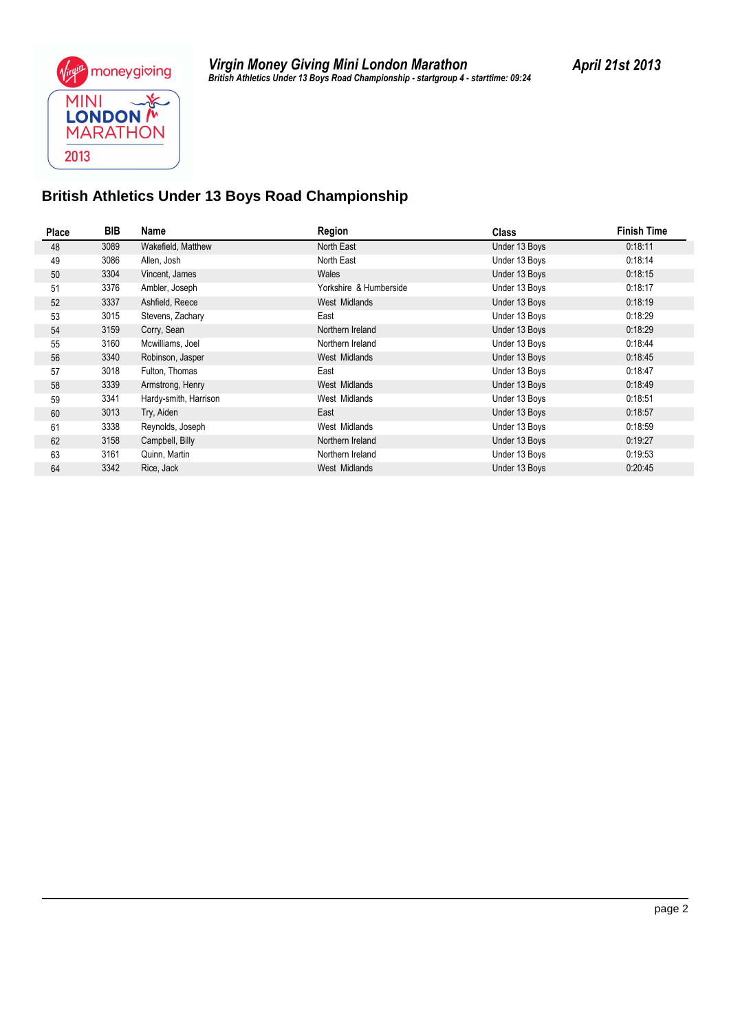

### **British Athletics Under 13 Boys Road Championship**

| Place | BIB  | Name                  | Region                 | <b>Class</b>  | <b>Finish Time</b> |
|-------|------|-----------------------|------------------------|---------------|--------------------|
| 48    | 3089 | Wakefield, Matthew    | North East             | Under 13 Boys | 0:18:11            |
| 49    | 3086 | Allen, Josh           | North East             | Under 13 Boys | 0:18:14            |
| 50    | 3304 | Vincent, James        | Wales                  | Under 13 Boys | 0:18:15            |
| 51    | 3376 | Ambler, Joseph        | Yorkshire & Humberside | Under 13 Boys | 0:18:17            |
| 52    | 3337 | Ashfield, Reece       | West Midlands          | Under 13 Boys | 0:18:19            |
| 53    | 3015 | Stevens, Zachary      | East                   | Under 13 Boys | 0:18:29            |
| 54    | 3159 | Corry, Sean           | Northern Ireland       | Under 13 Boys | 0:18:29            |
| 55    | 3160 | Mcwilliams, Joel      | Northern Ireland       | Under 13 Boys | 0:18:44            |
| 56    | 3340 | Robinson, Jasper      | West Midlands          | Under 13 Boys | 0:18:45            |
| 57    | 3018 | Fulton, Thomas        | East                   | Under 13 Boys | 0:18:47            |
| 58    | 3339 | Armstrong, Henry      | West Midlands          | Under 13 Boys | 0:18:49            |
| 59    | 3341 | Hardy-smith, Harrison | West Midlands          | Under 13 Boys | 0:18:51            |
| 60    | 3013 | Try, Aiden            | East                   | Under 13 Boys | 0:18:57            |
| 61    | 3338 | Reynolds, Joseph      | West Midlands          | Under 13 Boys | 0:18:59            |
| 62    | 3158 | Campbell, Billy       | Northern Ireland       | Under 13 Boys | 0:19:27            |
| 63    | 3161 | Quinn, Martin         | Northern Ireland       | Under 13 Boys | 0:19:53            |
| 64    | 3342 | Rice, Jack            | West Midlands          | Under 13 Boys | 0:20:45            |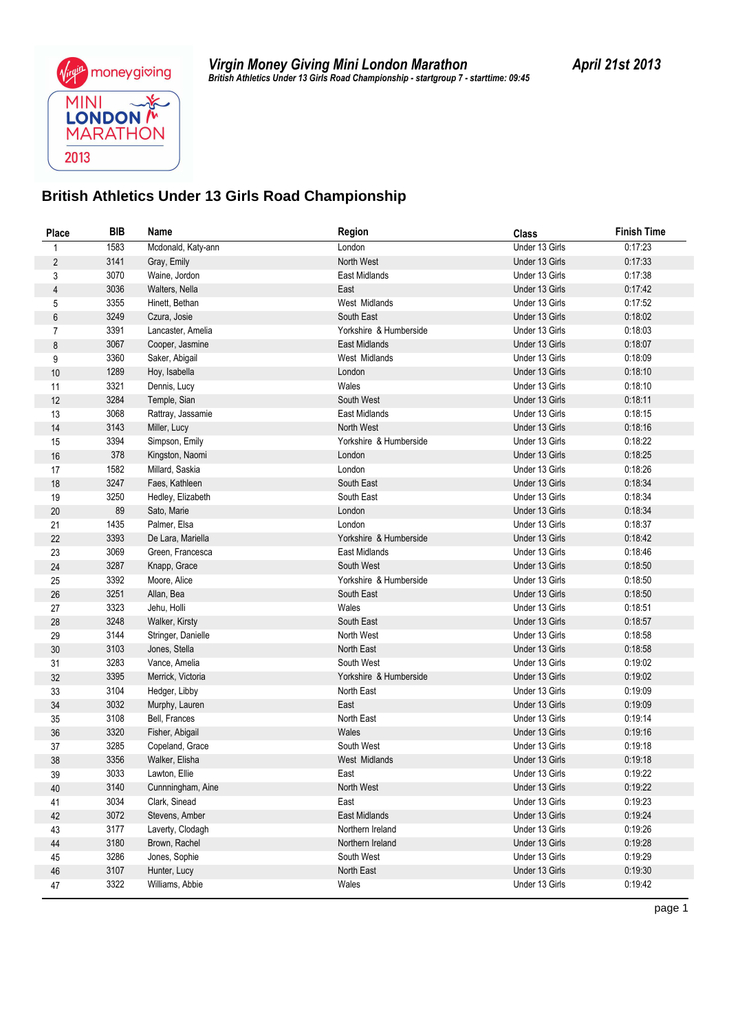

*British Athletics Under 13 Girls Road Championship - startgroup 7 - starttime: 09:45 Virgin Money Giving Mini London Marathon April 21st 2013*

## **British Athletics Under 13 Girls Road Championship**

| Place          | <b>BIB</b>   | Name                              | <b>Region</b>                | <b>Class</b>                     | <b>Finish Time</b> |
|----------------|--------------|-----------------------------------|------------------------------|----------------------------------|--------------------|
| $\mathbf{1}$   | 1583         | Mcdonald, Katy-ann                | London                       | Under 13 Girls                   | 0:17:23            |
| $\overline{2}$ | 3141         | Gray, Emily                       | North West                   | Under 13 Girls                   | 0:17:33            |
| 3              | 3070         | Waine, Jordon                     | East Midlands                | Under 13 Girls                   | 0:17:38            |
| $\overline{4}$ | 3036         | Walters, Nella                    | East                         | Under 13 Girls                   | 0:17:42            |
| 5              | 3355         | Hinett, Bethan                    | West Midlands                | Under 13 Girls                   | 0:17:52            |
| $\,6\,$        | 3249         | Czura, Josie                      | South East                   | Under 13 Girls                   | 0:18:02            |
| $\overline{7}$ | 3391         | Lancaster, Amelia                 | Yorkshire & Humberside       | Under 13 Girls                   | 0:18:03            |
| 8              | 3067         | Cooper, Jasmine                   | East Midlands                | Under 13 Girls                   | 0:18:07            |
| 9              | 3360         | Saker, Abigail                    | West Midlands                | Under 13 Girls                   | 0:18:09            |
| 10             | 1289         | Hoy, Isabella                     | London                       | Under 13 Girls                   | 0:18:10            |
| 11             | 3321         | Dennis, Lucy                      | Wales                        | Under 13 Girls                   | 0:18:10            |
| 12             | 3284         | Temple, Sian                      | South West                   | Under 13 Girls                   | 0:18:11            |
| 13             | 3068         | Rattray, Jassamie                 | East Midlands                | Under 13 Girls                   | 0:18:15            |
| 14             | 3143         | Miller, Lucy                      | North West                   | Under 13 Girls                   | 0:18:16            |
| 15             | 3394         | Simpson, Emily                    | Yorkshire & Humberside       | Under 13 Girls                   | 0:18:22            |
| 16             | 378          | Kingston, Naomi                   | London                       | Under 13 Girls                   | 0:18:25            |
| 17             | 1582         | Millard, Saskia                   | London                       | Under 13 Girls                   | 0:18:26            |
| 18             | 3247         | Faes, Kathleen                    | South East                   | Under 13 Girls                   | 0:18:34            |
| 19             | 3250         | Hedley, Elizabeth                 | South East                   | Under 13 Girls                   | 0:18:34            |
| 20             | 89           | Sato, Marie                       | London                       | Under 13 Girls                   | 0:18:34            |
| 21             | 1435         | Palmer, Elsa                      | London                       | Under 13 Girls                   | 0:18:37            |
| 22             | 3393         | De Lara, Mariella                 | Yorkshire & Humberside       | Under 13 Girls                   | 0:18:42            |
| 23             | 3069         | Green, Francesca                  | East Midlands                | Under 13 Girls                   | 0:18:46            |
| 24             | 3287         | Knapp, Grace                      | South West                   | Under 13 Girls                   | 0:18:50            |
| 25             | 3392         | Moore, Alice                      | Yorkshire & Humberside       | Under 13 Girls                   | 0:18:50            |
| 26             | 3251         | Allan, Bea                        | South East                   | Under 13 Girls                   | 0:18:50            |
| 27             | 3323         | Jehu, Holli                       | Wales                        | Under 13 Girls                   | 0:18:51            |
| 28             | 3248         | Walker, Kirsty                    | South East                   | Under 13 Girls                   | 0:18:57            |
| 29             | 3144         | Stringer, Danielle                | North West                   | Under 13 Girls                   | 0:18:58            |
| 30             | 3103         | Jones, Stella                     | North East                   | Under 13 Girls                   | 0:18:58            |
| 31             | 3283         | Vance, Amelia                     | South West                   | Under 13 Girls                   | 0:19:02            |
| 32             | 3395         | Merrick, Victoria                 | Yorkshire & Humberside       | Under 13 Girls                   | 0:19:02            |
| 33             | 3104         | Hedger, Libby                     | North East                   | Under 13 Girls                   | 0:19:09            |
| 34             | 3032         | Murphy, Lauren                    | East                         | Under 13 Girls                   | 0:19:09            |
| 35             | 3108         | Bell, Frances                     | North East                   | Under 13 Girls                   | 0:19:14            |
| 36             | 3320         | Fisher, Abigail                   | Wales                        | Under 13 Girls                   | 0:19:16            |
| 37             | 3285         | Copeland, Grace                   | South West                   | Under 13 Girls                   | 0:19:18            |
| 38             | 3356         | Walker, Elisha                    | West Midlands                | Under 13 Girls                   | 0:19:18            |
| 39             | 3033         | Lawton, Ellie                     | East                         | Under 13 Girls                   | 0:19:22            |
| 40             | 3140         | Cunnningham, Aine                 | North West                   | Under 13 Girls                   | 0:19:22            |
| 41             | 3034         | Clark, Sinead                     | East<br><b>East Midlands</b> | Under 13 Girls                   | 0:19:23            |
| 42             | 3072<br>3177 | Stevens, Amber                    | Northern Ireland             | Under 13 Girls<br>Under 13 Girls | 0:19:24<br>0:19:26 |
| 43             | 3180         | Laverty, Clodagh<br>Brown, Rachel | Northern Ireland             | Under 13 Girls                   | 0:19:28            |
| 44             | 3286         | Jones, Sophie                     | South West                   | Under 13 Girls                   | 0:19:29            |
| 45             | 3107         |                                   |                              | Under 13 Girls                   | 0:19:30            |
| 46             | 3322         | Hunter, Lucy<br>Williams, Abbie   | North East<br>Wales          | Under 13 Girls                   | 0:19:42            |
| 47             |              |                                   |                              |                                  |                    |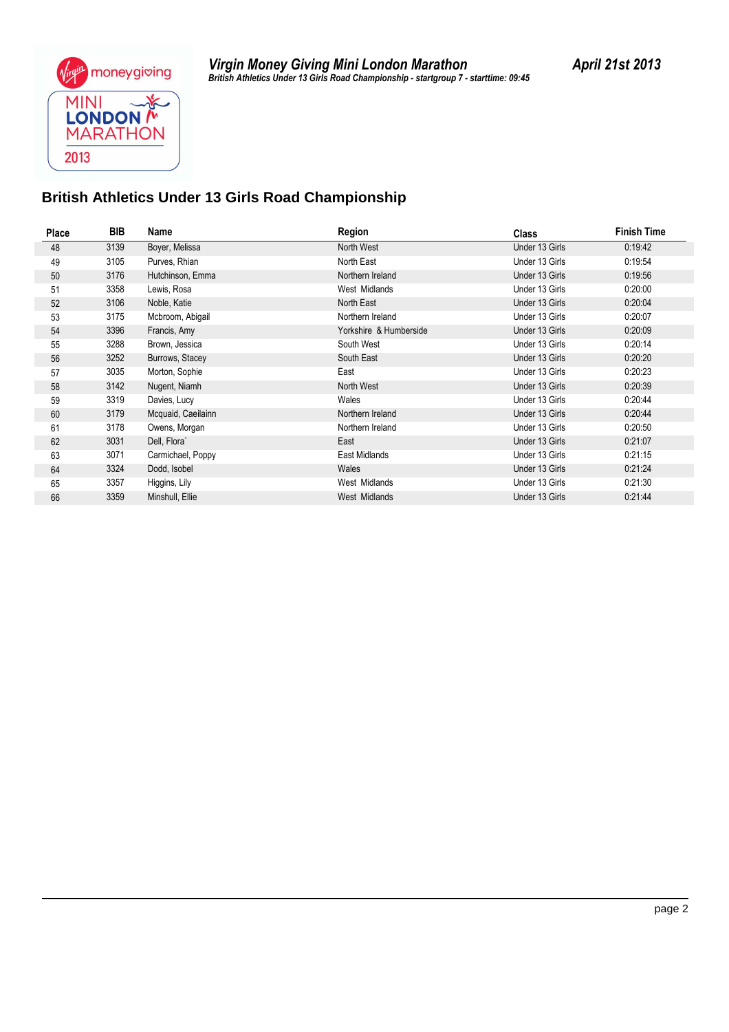

### **British Athletics Under 13 Girls Road Championship**

| <b>Place</b> | BIB  | Name               | Region                 | <b>Class</b>   | <b>Finish Time</b> |
|--------------|------|--------------------|------------------------|----------------|--------------------|
| 48           | 3139 | Boyer, Melissa     | North West             | Under 13 Girls | 0:19:42            |
| 49           | 3105 | Purves, Rhian      | North East             | Under 13 Girls | 0:19:54            |
| 50           | 3176 | Hutchinson, Emma   | Northern Ireland       | Under 13 Girls | 0:19:56            |
| 51           | 3358 | Lewis, Rosa        | West Midlands          | Under 13 Girls | 0:20:00            |
| 52           | 3106 | Noble, Katie       | North East             | Under 13 Girls | 0:20:04            |
| 53           | 3175 | Mcbroom, Abigail   | Northern Ireland       | Under 13 Girls | 0:20:07            |
| 54           | 3396 | Francis, Amy       | Yorkshire & Humberside | Under 13 Girls | 0:20:09            |
| 55           | 3288 | Brown, Jessica     | South West             | Under 13 Girls | 0:20:14            |
| 56           | 3252 | Burrows, Stacey    | South East             | Under 13 Girls | 0:20:20            |
| 57           | 3035 | Morton, Sophie     | East                   | Under 13 Girls | 0:20:23            |
| 58           | 3142 | Nugent, Niamh      | North West             | Under 13 Girls | 0:20:39            |
| 59           | 3319 | Davies, Lucy       | Wales                  | Under 13 Girls | 0:20:44            |
| 60           | 3179 | Mcquaid, Caeilainn | Northern Ireland       | Under 13 Girls | 0:20:44            |
| 61           | 3178 | Owens, Morgan      | Northern Ireland       | Under 13 Girls | 0:20:50            |
| 62           | 3031 | Dell, Flora`       | East                   | Under 13 Girls | 0.21:07            |
| 63           | 3071 | Carmichael, Poppy  | East Midlands          | Under 13 Girls | 0:21:15            |
| 64           | 3324 | Dodd, Isobel       | Wales                  | Under 13 Girls | 0:21:24            |
| 65           | 3357 | Higgins, Lily      | West Midlands          | Under 13 Girls | 0:21:30            |
| 66           | 3359 | Minshull, Ellie    | West Midlands          | Under 13 Girls | 0:21:44            |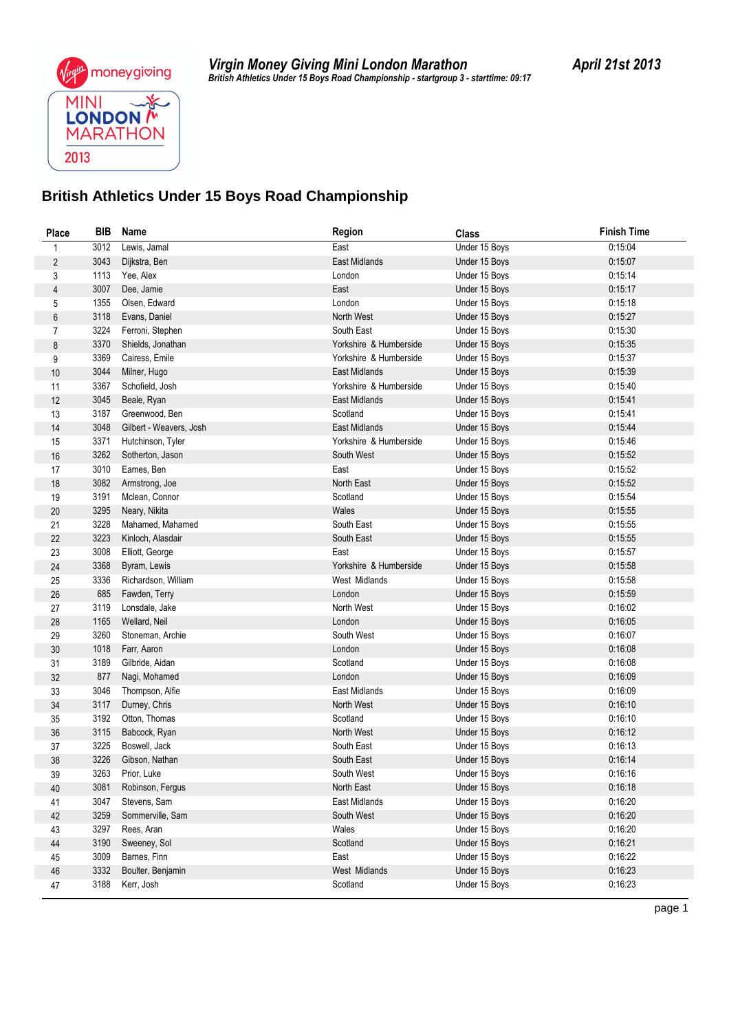

*British Athletics Under 15 Boys Road Championship - startgroup 3 - starttime: 09:17 Virgin Money Giving Mini London Marathon April 21st 2013*

### **British Athletics Under 15 Boys Road Championship**

| Place          | BIB  | Name                    | <b>Region</b>          | <b>Class</b>  | <b>Finish Time</b> |
|----------------|------|-------------------------|------------------------|---------------|--------------------|
| 1              | 3012 | Lewis, Jamal            | East                   | Under 15 Boys | 0:15:04            |
| $\overline{c}$ | 3043 | Dijkstra, Ben           | East Midlands          | Under 15 Boys | 0:15:07            |
| 3              | 1113 | Yee, Alex               | London                 | Under 15 Boys | 0:15:14            |
| 4              | 3007 | Dee, Jamie              | East                   | Under 15 Boys | 0:15:17            |
| 5              | 1355 | Olsen, Edward           | London                 | Under 15 Boys | 0:15:18            |
| 6              | 3118 | Evans, Daniel           | North West             | Under 15 Boys | 0:15:27            |
| 7              | 3224 | Ferroni, Stephen        | South East             | Under 15 Boys | 0:15:30            |
| 8              | 3370 | Shields, Jonathan       | Yorkshire & Humberside | Under 15 Boys | 0:15:35            |
| 9              | 3369 | Cairess, Emile          | Yorkshire & Humberside | Under 15 Boys | 0:15:37            |
| $10$           | 3044 | Milner, Hugo            | East Midlands          | Under 15 Boys | 0:15:39            |
| 11             | 3367 | Schofield, Josh         | Yorkshire & Humberside | Under 15 Boys | 0:15:40            |
| 12             | 3045 | Beale, Ryan             | East Midlands          | Under 15 Boys | 0:15:41            |
| 13             | 3187 | Greenwood, Ben          | Scotland               | Under 15 Boys | 0:15:41            |
| 14             | 3048 | Gilbert - Weavers, Josh | East Midlands          | Under 15 Boys | 0:15:44            |
| 15             | 3371 | Hutchinson, Tyler       | Yorkshire & Humberside | Under 15 Boys | 0:15:46            |
| 16             | 3262 | Sotherton, Jason        | South West             | Under 15 Boys | 0:15:52            |
| 17             | 3010 | Eames, Ben              | East                   | Under 15 Boys | 0:15:52            |
| 18             | 3082 | Armstrong, Joe          | North East             | Under 15 Boys | 0:15:52            |
| 19             | 3191 | Mclean, Connor          | Scotland               | Under 15 Boys | 0:15:54            |
| 20             | 3295 | Neary, Nikita           | Wales                  | Under 15 Boys | 0:15:55            |
| 21             | 3228 | Mahamed, Mahamed        | South East             | Under 15 Boys | 0:15:55            |
| 22             | 3223 | Kinloch, Alasdair       | South East             | Under 15 Boys | 0:15:55            |
| 23             | 3008 | Elliott, George         | East                   | Under 15 Boys | 0:15:57            |
| 24             | 3368 | Byram, Lewis            | Yorkshire & Humberside | Under 15 Boys | 0:15:58            |
| 25             | 3336 | Richardson, William     | West Midlands          | Under 15 Boys | 0:15:58            |
| 26             | 685  | Fawden, Terry           | London                 | Under 15 Boys | 0:15:59            |
| 27             | 3119 | Lonsdale, Jake          | North West             | Under 15 Boys | 0:16:02            |
| 28             | 1165 | Wellard, Neil           | London                 | Under 15 Boys | 0:16:05            |
| 29             | 3260 | Stoneman, Archie        | South West             | Under 15 Boys | 0:16:07            |
| 30             | 1018 | Farr, Aaron             | London                 | Under 15 Boys | 0:16:08            |
| 31             | 3189 | Gilbride, Aidan         | Scotland               | Under 15 Boys | 0:16:08            |
| 32             | 877  | Nagi, Mohamed           | London                 | Under 15 Boys | 0:16:09            |
| 33             | 3046 | Thompson, Alfie         | East Midlands          | Under 15 Boys | 0:16:09            |
| 34             | 3117 | Durney, Chris           | North West             | Under 15 Boys | 0:16:10            |
| 35             | 3192 | Otton, Thomas           | Scotland               | Under 15 Boys | 0:16:10            |
| 36             | 3115 | Babcock, Ryan           | North West             | Under 15 Boys | 0:16:12            |
| 37             | 3225 | Boswell, Jack           | South East             | Under 15 Boys | 0:16:13            |
| 38             | 3226 | Gibson, Nathan          | South East             | Under 15 Boys | 0:16:14            |
| 39             | 3263 | Prior, Luke             | South West             | Under 15 Boys | 0:16:16            |
| 40             | 3081 | Robinson, Fergus        | North East             | Under 15 Boys | 0:16:18            |
| 41             | 3047 | Stevens, Sam            | East Midlands          | Under 15 Boys | 0:16:20            |
| 42             | 3259 | Sommerville, Sam        | South West             | Under 15 Boys | 0:16:20            |
| 43             | 3297 | Rees, Aran              | Wales                  | Under 15 Boys | 0:16:20            |
| 44             | 3190 | Sweeney, Sol            | Scotland               | Under 15 Boys | 0:16:21            |
| 45             | 3009 | Barnes, Finn            | East                   | Under 15 Boys | 0:16:22            |
| 46             | 3332 | Boulter, Benjamin       | West Midlands          | Under 15 Boys | 0:16:23            |
| 47             | 3188 | Kerr, Josh              | Scotland               | Under 15 Boys | 0:16:23            |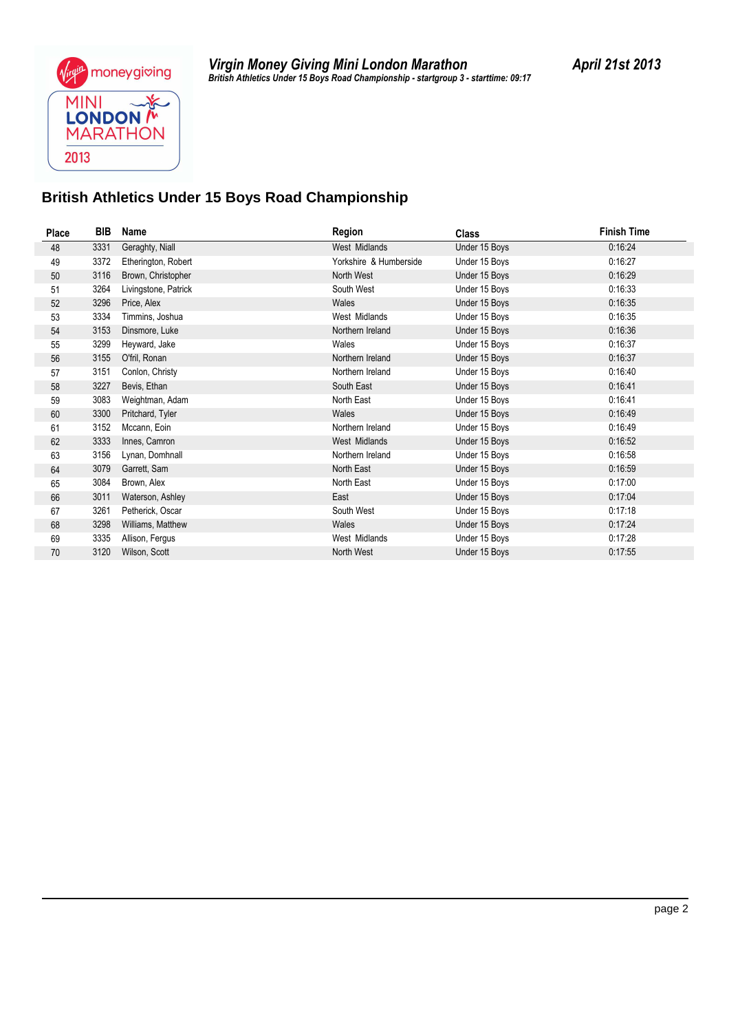#### **British Athletics Under 15 Boys Road Championship**

| <b>Place</b> | BIB  | Name                 | Region                 | <b>Class</b>  | <b>Finish Time</b> |
|--------------|------|----------------------|------------------------|---------------|--------------------|
| 48           | 3331 | Geraghty, Niall      | West Midlands          | Under 15 Boys | 0:16:24            |
| 49           | 3372 | Etherington, Robert  | Yorkshire & Humberside | Under 15 Boys | 0:16:27            |
| 50           | 3116 | Brown, Christopher   | North West             | Under 15 Boys | 0:16:29            |
| 51           | 3264 | Livingstone, Patrick | South West             | Under 15 Boys | 0:16:33            |
| 52           | 3296 | Price, Alex          | Wales                  | Under 15 Boys | 0:16:35            |
| 53           | 3334 | Timmins, Joshua      | West Midlands          | Under 15 Boys | 0:16:35            |
| 54           | 3153 | Dinsmore, Luke       | Northern Ireland       | Under 15 Boys | 0:16:36            |
| 55           | 3299 | Heyward, Jake        | Wales                  | Under 15 Boys | 0:16:37            |
| 56           | 3155 | O'fril, Ronan        | Northern Ireland       | Under 15 Boys | 0:16:37            |
| 57           | 3151 | Conlon, Christy      | Northern Ireland       | Under 15 Boys | 0:16:40            |
| 58           | 3227 | Bevis, Ethan         | South East             | Under 15 Boys | 0:16:41            |
| 59           | 3083 | Weightman, Adam      | North East             | Under 15 Boys | 0:16:41            |
| 60           | 3300 | Pritchard, Tyler     | Wales                  | Under 15 Boys | 0:16:49            |
| 61           | 3152 | Mccann, Eoin         | Northern Ireland       | Under 15 Boys | 0:16:49            |
| 62           | 3333 | Innes, Camron        | West Midlands          | Under 15 Boys | 0:16:52            |
| 63           | 3156 | Lynan, Domhnall      | Northern Ireland       | Under 15 Boys | 0:16:58            |
| 64           | 3079 | Garrett, Sam         | North East             | Under 15 Boys | 0:16:59            |
| 65           | 3084 | Brown, Alex          | North East             | Under 15 Boys | 0:17:00            |
| 66           | 3011 | Waterson, Ashley     | East                   | Under 15 Boys | 0:17:04            |
| 67           | 3261 | Petherick, Oscar     | South West             | Under 15 Boys | 0:17:18            |
| 68           | 3298 | Williams, Matthew    | Wales                  | Under 15 Boys | 0:17:24            |
| 69           | 3335 | Allison, Fergus      | West Midlands          | Under 15 Boys | 0:17:28            |
| 70           | 3120 | Wilson, Scott        | North West             | Under 15 Boys | 0:17:55            |
|              |      |                      |                        |               |                    |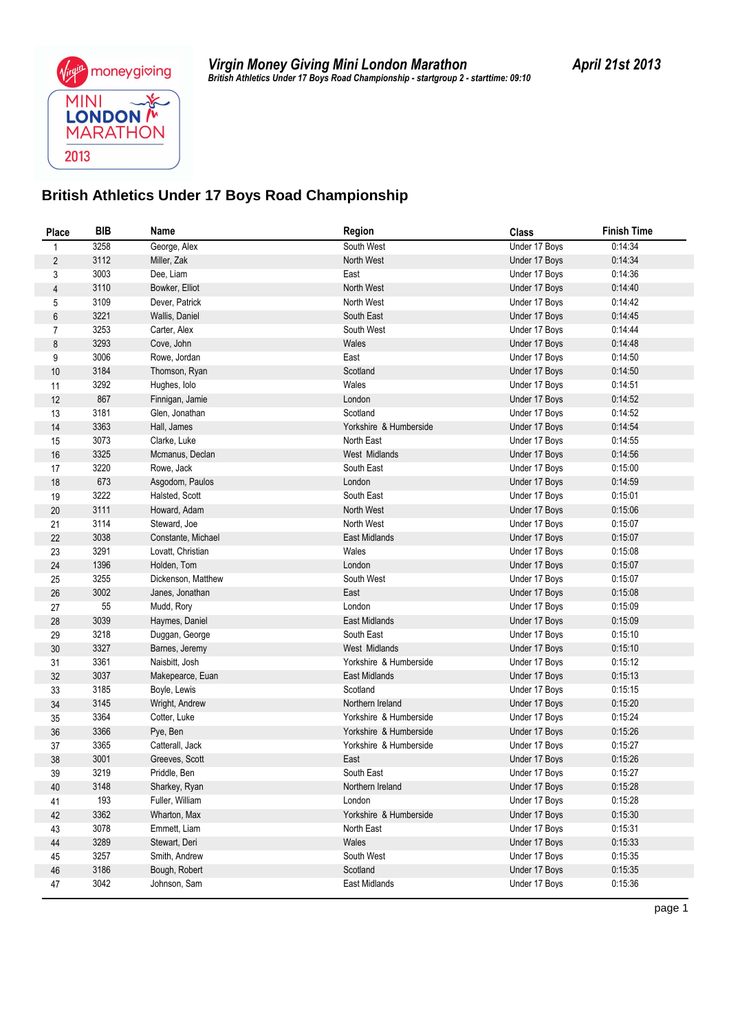

*British Athletics Under 17 Boys Road Championship - startgroup 2 - starttime: 09:10 Virgin Money Giving Mini London Marathon April 21st 2013*

#### **British Athletics Under 17 Boys Road Championship**

| Place          | <b>BIB</b>   | Name                           | <b>Region</b>             | <b>Class</b>                   | <b>Finish Time</b> |
|----------------|--------------|--------------------------------|---------------------------|--------------------------------|--------------------|
| 1              | 3258         | George, Alex                   | South West                | Under 17 Boys                  | 0:14:34            |
| $\overline{c}$ | 3112         | Miller, Zak                    | North West                | Under 17 Boys                  | 0:14:34            |
| 3              | 3003         | Dee, Liam                      | East                      | Under 17 Boys                  | 0:14:36            |
| 4              | 3110         | Bowker, Elliot                 | North West                | Under 17 Boys                  | 0.14:40            |
| 5              | 3109         | Dever, Patrick                 | North West                | Under 17 Boys                  | 0:14:42            |
| 6              | 3221         | Wallis, Daniel                 | South East                | Under 17 Boys                  | 0:14:45            |
| $\overline{7}$ | 3253         | Carter, Alex                   | South West                | Under 17 Boys                  | 0.14:44            |
| 8              | 3293         | Cove, John                     | Wales                     | Under 17 Boys                  | 0:14:48            |
| 9              | 3006         | Rowe, Jordan                   | East                      | Under 17 Boys                  | 0:14:50            |
| 10             | 3184         | Thomson, Ryan                  | Scotland                  | Under 17 Boys                  | 0:14:50            |
| 11             | 3292         | Hughes, lolo                   | Wales                     | Under 17 Boys                  | 0:14:51            |
| 12             | 867          | Finnigan, Jamie                | London                    | Under 17 Boys                  | 0:14:52            |
| 13             | 3181         | Glen, Jonathan                 | Scotland                  | Under 17 Boys                  | 0:14:52            |
| 14             | 3363         | Hall, James                    | Yorkshire & Humberside    | Under 17 Boys                  | 0:14:54            |
| 15             | 3073         | Clarke, Luke                   | North East                | Under 17 Boys                  | 0:14:55            |
| 16             | 3325         | Mcmanus, Declan                | West Midlands             | Under 17 Boys                  | 0:14:56            |
| 17             | 3220         | Rowe, Jack                     | South East                | Under 17 Boys                  | 0:15:00            |
| 18             | 673          | Asgodom, Paulos                | London                    | Under 17 Boys                  | 0:14:59            |
| 19             | 3222         | Halsted, Scott                 | South East                | Under 17 Boys                  | 0:15:01            |
| 20             | 3111         | Howard, Adam                   | North West                | Under 17 Boys                  | 0:15:06            |
| 21             | 3114         | Steward, Joe                   | North West                | Under 17 Boys                  | 0:15:07            |
| 22             | 3038         | Constante, Michael             | East Midlands             | Under 17 Boys                  | 0:15:07            |
| 23             | 3291         | Lovatt, Christian              | Wales                     | Under 17 Boys                  | 0:15:08            |
| 24             | 1396         | Holden, Tom                    | London                    | Under 17 Boys                  | 0:15:07            |
| 25             | 3255         | Dickenson, Matthew             | South West                | Under 17 Boys                  | 0:15:07            |
| 26             | 3002         | Janes, Jonathan                | East                      | Under 17 Boys                  | 0:15:08            |
| 27             | 55           | Mudd, Rory                     | London                    | Under 17 Boys                  | 0:15:09            |
| 28             | 3039         | Haymes, Daniel                 | East Midlands             | Under 17 Boys                  | 0:15:09            |
| 29             | 3218         | Duggan, George                 | South East                | Under 17 Boys                  | 0:15:10            |
| $30\,$         | 3327         | Barnes, Jeremy                 | West Midlands             | Under 17 Boys                  | 0:15:10            |
| 31             | 3361         | Naisbitt, Josh                 | Yorkshire & Humberside    | Under 17 Boys                  | 0:15:12            |
| 32             | 3037<br>3185 | Makepearce, Euan               | East Midlands<br>Scotland | Under 17 Boys<br>Under 17 Boys | 0:15:13<br>0:15:15 |
| 33             | 3145         | Boyle, Lewis<br>Wright, Andrew | Northern Ireland          | Under 17 Boys                  | 0:15:20            |
| 34             | 3364         | Cotter, Luke                   | Yorkshire & Humberside    | Under 17 Boys                  | 0:15:24            |
| 35<br>36       | 3366         | Pye, Ben                       | Yorkshire & Humberside    | Under 17 Boys                  | 0:15:26            |
| 37             | 3365         | Catterall, Jack                | Yorkshire & Humberside    | Under 17 Boys                  | 0:15:27            |
| 38             | 3001         | Greeves, Scott                 | East                      | Under 17 Boys                  | 0:15:26            |
| 39             | 3219         | Priddle, Ben                   | South East                | Under 17 Boys                  | 0:15:27            |
| 40             | 3148         | Sharkey, Ryan                  | Northern Ireland          | Under 17 Boys                  | 0:15:28            |
| 41             | 193          | Fuller, William                | London                    | Under 17 Boys                  | 0:15:28            |
| 42             | 3362         | Wharton, Max                   | Yorkshire & Humberside    | Under 17 Boys                  | 0:15:30            |
| 43             | 3078         | Emmett, Liam                   | North East                | Under 17 Boys                  | 0:15:31            |
| 44             | 3289         | Stewart, Deri                  | Wales                     | Under 17 Boys                  | 0:15:33            |
| 45             | 3257         | Smith, Andrew                  | South West                | Under 17 Boys                  | 0:15:35            |
| 46             | 3186         | Bough, Robert                  | Scotland                  | Under 17 Boys                  | 0:15:35            |
| 47             | 3042         | Johnson, Sam                   | East Midlands             | Under 17 Boys                  | 0:15:36            |
|                |              |                                |                           |                                |                    |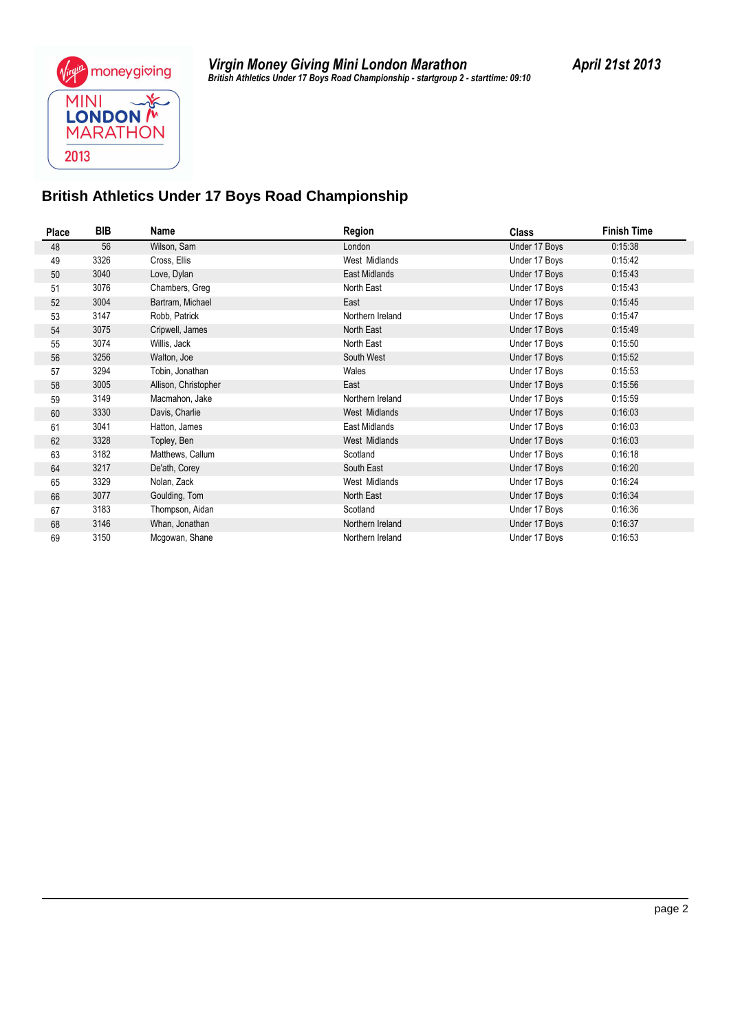

*British Athletics Under 17 Boys Road Championship - startgroup 2 - starttime: 09:10 Virgin Money Giving Mini London Marathon April 21st 2013*

### **British Athletics Under 17 Boys Road Championship**

| Place | BIB  | Name                 | Region           | <b>Class</b>  | <b>Finish Time</b> |  |
|-------|------|----------------------|------------------|---------------|--------------------|--|
| 48    | 56   | Wilson, Sam          | London           | Under 17 Boys | 0:15:38            |  |
| 49    | 3326 | Cross, Ellis         | West Midlands    | Under 17 Boys | 0:15:42            |  |
| 50    | 3040 | Love, Dylan          | East Midlands    | Under 17 Boys | 0.15.43            |  |
| 51    | 3076 | Chambers, Greg       | North East       | Under 17 Boys | 0:15:43            |  |
| 52    | 3004 | Bartram, Michael     | East             | Under 17 Boys | 0:15:45            |  |
| 53    | 3147 | Robb, Patrick        | Northern Ireland | Under 17 Boys | 0:15:47            |  |
| 54    | 3075 | Cripwell, James      | North East       | Under 17 Boys | 0:15:49            |  |
| 55    | 3074 | Willis, Jack         | North East       | Under 17 Boys | 0:15:50            |  |
| 56    | 3256 | Walton, Joe          | South West       | Under 17 Boys | 0:15:52            |  |
| 57    | 3294 | Tobin, Jonathan      | Wales            | Under 17 Boys | 0:15:53            |  |
| 58    | 3005 | Allison, Christopher | East             | Under 17 Boys | 0:15:56            |  |
| 59    | 3149 | Macmahon, Jake       | Northern Ireland | Under 17 Boys | 0:15:59            |  |
| 60    | 3330 | Davis, Charlie       | West Midlands    | Under 17 Boys | 0:16:03            |  |
| 61    | 3041 | Hatton, James        | East Midlands    | Under 17 Boys | 0:16:03            |  |
| 62    | 3328 | Topley, Ben          | West Midlands    | Under 17 Boys | 0:16:03            |  |
| 63    | 3182 | Matthews, Callum     | Scotland         | Under 17 Boys | 0:16:18            |  |
| 64    | 3217 | De'ath, Corey        | South East       | Under 17 Boys | 0:16:20            |  |
| 65    | 3329 | Nolan, Zack          | West Midlands    | Under 17 Boys | 0:16:24            |  |
| 66    | 3077 | Goulding, Tom        | North East       | Under 17 Boys | 0:16:34            |  |
| 67    | 3183 | Thompson, Aidan      | Scotland         | Under 17 Boys | 0:16:36            |  |
| 68    | 3146 | Whan, Jonathan       | Northern Ireland | Under 17 Boys | 0:16:37            |  |
| 69    | 3150 | Mcgowan, Shane       | Northern Ireland | Under 17 Boys | 0:16:53            |  |
|       |      |                      |                  |               |                    |  |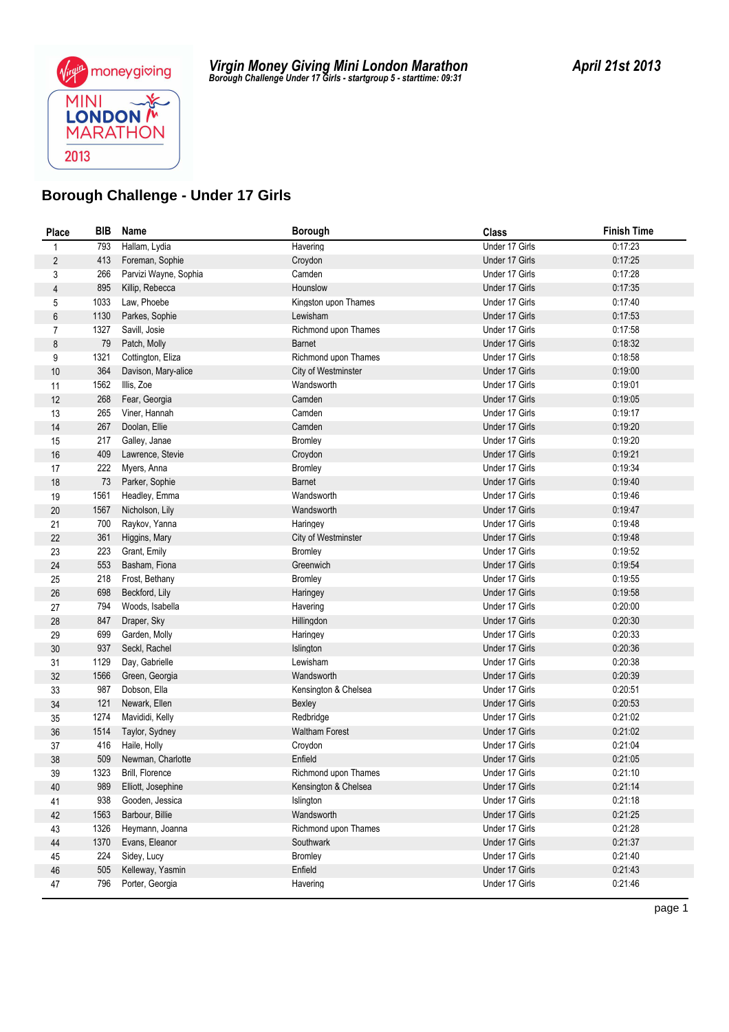

| Place          | BIB         | Name                                  | <b>Borough</b>                               | <b>Class</b>                     | <b>Finish Time</b> |
|----------------|-------------|---------------------------------------|----------------------------------------------|----------------------------------|--------------------|
| 1              | 793         | Hallam, Lydia                         | Havering                                     | Under 17 Girls                   | 0:17:23            |
| $\overline{2}$ | 413         | Foreman, Sophie                       | Croydon                                      | Under 17 Girls                   | 0:17:25            |
| 3              | 266         | Parvizi Wayne, Sophia                 | Camden                                       | Under 17 Girls                   | 0:17:28            |
| $\overline{4}$ | 895         | Killip, Rebecca                       | Hounslow                                     | Under 17 Girls                   | 0:17:35            |
| 5              | 1033        | Law, Phoebe                           | Kingston upon Thames                         | Under 17 Girls                   | 0:17:40            |
| 6              | 1130        | Parkes, Sophie                        | Lewisham                                     | Under 17 Girls                   | 0:17:53            |
| $\overline{7}$ | 1327        | Savill, Josie                         | Richmond upon Thames                         | Under 17 Girls                   | 0:17:58            |
| 8              | 79          | Patch, Molly                          | <b>Barnet</b>                                | Under 17 Girls                   | 0:18:32            |
| 9              | 1321        | Cottington, Eliza                     | Richmond upon Thames                         | Under 17 Girls                   | 0:18:58            |
| 10             | 364         | Davison, Mary-alice                   | City of Westminster                          | Under 17 Girls                   | 0:19:00            |
| 11             | 1562        | Illis, Zoe                            | Wandsworth                                   | Under 17 Girls                   | 0:19:01            |
| 12             | 268         | Fear, Georgia                         | Camden                                       | Under 17 Girls                   | 0:19:05            |
| 13             | 265         | Viner, Hannah                         | Camden                                       | Under 17 Girls                   | 0:19:17            |
| 14             | 267         | Doolan, Ellie                         | Camden                                       | Under 17 Girls                   | 0:19:20            |
| 15             | 217         | Galley, Janae                         | <b>Bromley</b>                               | Under 17 Girls                   | 0:19:20            |
| 16             | 409         | Lawrence, Stevie                      | Croydon                                      | Under 17 Girls                   | 0:19:21            |
| 17             | 222         | Myers, Anna                           | <b>Bromley</b>                               | Under 17 Girls                   | 0:19:34            |
| 18             | 73          | Parker, Sophie                        | <b>Barnet</b>                                | Under 17 Girls                   | 0:19:40            |
| 19             | 1561        | Headley, Emma                         | Wandsworth                                   | Under 17 Girls                   | 0:19:46            |
| 20             | 1567        | Nicholson, Lily                       | Wandsworth                                   | Under 17 Girls                   | 0:19:47            |
| 21             | 700         | Raykov, Yanna                         | Haringey                                     | Under 17 Girls                   | 0:19:48            |
| 22             | 361         | Higgins, Mary                         | <b>City of Westminster</b>                   | Under 17 Girls                   | 0.19.48            |
| 23             | 223         | Grant, Emily                          | <b>Bromley</b>                               | Under 17 Girls                   | 0:19:52            |
| 24             | 553         | Basham, Fiona                         | Greenwich                                    | Under 17 Girls                   | 0:19:54            |
| 25             | 218         | Frost, Bethany                        | <b>Bromley</b>                               | Under 17 Girls                   | 0:19:55            |
| 26             | 698         | Beckford, Lily                        | Haringey                                     | Under 17 Girls                   | 0:19:58            |
| 27             | 794         | Woods, Isabella                       | Havering                                     | Under 17 Girls                   | 0:20:00            |
| 28             | 847         | Draper, Sky                           | Hillingdon                                   | Under 17 Girls                   | 0:20:30            |
| 29             | 699         | Garden, Molly                         | Haringey                                     | Under 17 Girls                   | 0:20:33            |
| 30             | 937         | Seckl, Rachel                         | Islington                                    | Under 17 Girls                   | 0:20:36            |
| 31             | 1129        | Day, Gabrielle                        | Lewisham                                     | Under 17 Girls                   | 0:20:38            |
| 32             | 1566        | Green, Georgia                        | Wandsworth                                   | Under 17 Girls                   | 0:20:39            |
| 33             | 987         | Dobson, Ella                          | Kensington & Chelsea                         | Under 17 Girls                   | 0:20:51            |
| $34\,$         | 121<br>1274 | Newark, Ellen                         | Bexley<br>Redbridge                          | Under 17 Girls<br>Under 17 Girls | 0:20:53<br>0:21:02 |
| 35             |             | Mavididi, Kelly                       |                                              |                                  |                    |
| 36             | 1514        | Taylor, Sydney                        | <b>Waltham Forest</b>                        | Under 17 Girls                   | 0:21:02<br>0:21:04 |
| 37<br>38       | 416<br>509  | Haile, Holly<br>Newman, Charlotte     | Croydon<br>Enfield                           | Under 17 Girls<br>Under 17 Girls | 0:21:05            |
|                |             |                                       |                                              |                                  |                    |
| 39<br>40       | 1323<br>989 | Brill, Florence<br>Elliott, Josephine | Richmond upon Thames<br>Kensington & Chelsea | Under 17 Girls<br>Under 17 Girls | 0:21:10<br>0.21:14 |
|                | 938         | Gooden, Jessica                       | Islington                                    | Under 17 Girls                   | 0:21:18            |
| 41<br>42       | 1563        | Barbour, Billie                       | Wandsworth                                   | Under 17 Girls                   | 0:21:25            |
| 43             | 1326        | Heymann, Joanna                       | Richmond upon Thames                         | Under 17 Girls                   | 0:21:28            |
| 44             | 1370        | Evans, Eleanor                        | Southwark                                    | Under 17 Girls                   | 0.21:37            |
| 45             | 224         | Sidey, Lucy                           | <b>Bromley</b>                               | Under 17 Girls                   | 0:21:40            |
| $46\,$         | 505         | Kelleway, Yasmin                      | Enfield                                      | Under 17 Girls                   | 0.21:43            |
| 47             | 796         | Porter, Georgia                       | Havering                                     | Under 17 Girls                   | 0:21:46            |
|                |             |                                       |                                              |                                  |                    |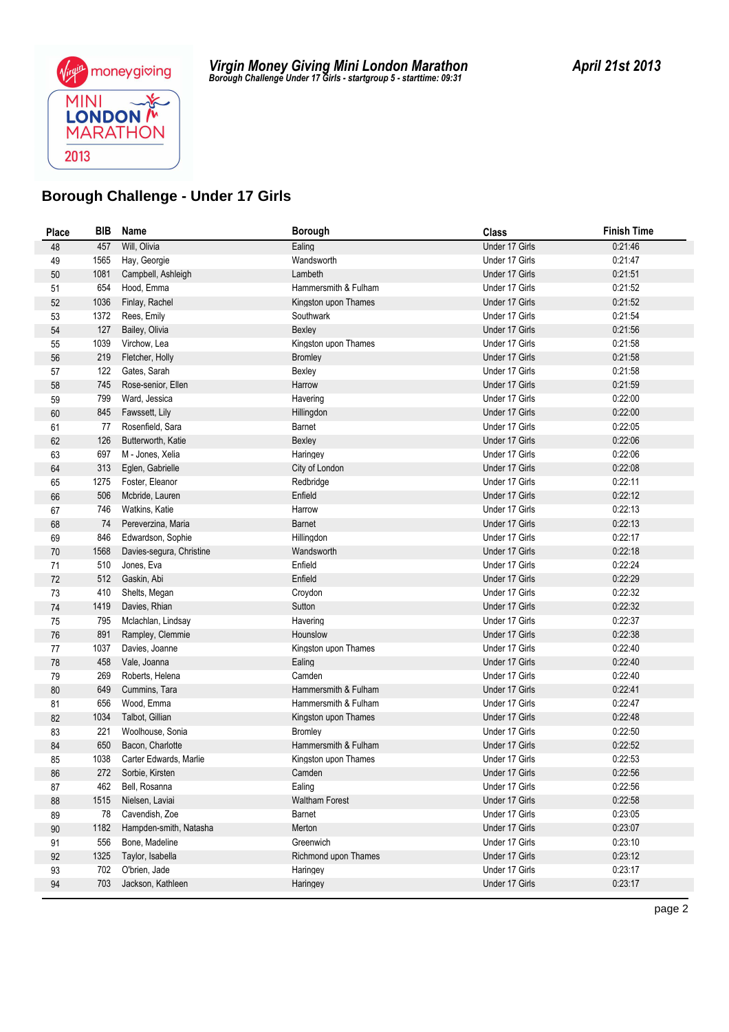

| <b>Place</b> | BIB  | Name                     | <b>Borough</b>        | <b>Class</b>   | <b>Finish Time</b> |
|--------------|------|--------------------------|-----------------------|----------------|--------------------|
| 48           | 457  | Will, Olivia             | Ealing                | Under 17 Girls | 0:21:46            |
| 49           | 1565 | Hay, Georgie             | Wandsworth            | Under 17 Girls | 0:21:47            |
| $50\,$       | 1081 | Campbell, Ashleigh       | Lambeth               | Under 17 Girls | 0:21:51            |
| 51           | 654  | Hood, Emma               | Hammersmith & Fulham  | Under 17 Girls | 0:21:52            |
| 52           | 1036 | Finlay, Rachel           | Kingston upon Thames  | Under 17 Girls | 0:21:52            |
| 53           | 1372 | Rees, Emily              | Southwark             | Under 17 Girls | 0:21:54            |
| 54           | 127  | Bailey, Olivia           | Bexley                | Under 17 Girls | 0.21:56            |
| 55           | 1039 | Virchow, Lea             | Kingston upon Thames  | Under 17 Girls | 0:21:58            |
| 56           | 219  | Fletcher, Holly          | <b>Bromley</b>        | Under 17 Girls | 0:21:58            |
| 57           | 122  | Gates, Sarah             | Bexley                | Under 17 Girls | 0:21:58            |
| 58           | 745  | Rose-senior, Ellen       | Harrow                | Under 17 Girls | 0:21:59            |
| 59           | 799  | Ward, Jessica            | Havering              | Under 17 Girls | 0:22:00            |
| 60           | 845  | Fawssett, Lily           | Hillingdon            | Under 17 Girls | 0:22:00            |
| 61           | 77   | Rosenfield, Sara         | Barnet                | Under 17 Girls | 0:22:05            |
| 62           | 126  | Butterworth, Katie       | Bexley                | Under 17 Girls | 0:22:06            |
| 63           | 697  | M - Jones, Xelia         | Haringey              | Under 17 Girls | 0:22:06            |
| 64           | 313  | Eglen, Gabrielle         | City of London        | Under 17 Girls | 0:22:08            |
| 65           | 1275 | Foster, Eleanor          | Redbridge             | Under 17 Girls | 0:22:11            |
| 66           | 506  | Mcbride, Lauren          | Enfield               | Under 17 Girls | 0:22:12            |
| 67           | 746  | Watkins, Katie           | Harrow                | Under 17 Girls | 0:22:13            |
| 68           | 74   | Pereverzina, Maria       | Barnet                | Under 17 Girls | 0:22:13            |
| 69           | 846  | Edwardson, Sophie        | Hillingdon            | Under 17 Girls | 0:22:17            |
| 70           | 1568 | Davies-segura, Christine | Wandsworth            | Under 17 Girls | 0:22:18            |
| 71           | 510  | Jones, Eva               | Enfield               | Under 17 Girls | 0:22:24            |
| 72           | 512  | Gaskin, Abi              | Enfield               | Under 17 Girls | 0:22:29            |
| 73           | 410  | Shelts, Megan            | Croydon               | Under 17 Girls | 0:22:32            |
| 74           | 1419 | Davies, Rhian            | Sutton                | Under 17 Girls | 0:22:32            |
| 75           | 795  | Mclachlan, Lindsay       | Havering              | Under 17 Girls | 0:22:37            |
| 76           | 891  | Rampley, Clemmie         | Hounslow              | Under 17 Girls | 0:22:38            |
| 77           | 1037 | Davies, Joanne           | Kingston upon Thames  | Under 17 Girls | 0:22:40            |
| 78           | 458  | Vale, Joanna             | Ealing                | Under 17 Girls | 0:22:40            |
| 79           | 269  | Roberts, Helena          | Camden                | Under 17 Girls | 0:22:40            |
| 80           | 649  | Cummins, Tara            | Hammersmith & Fulham  | Under 17 Girls | 0:22:41            |
| 81           | 656  | Wood, Emma               | Hammersmith & Fulham  | Under 17 Girls | 0:22:47            |
| 82           | 1034 | Talbot, Gillian          | Kingston upon Thames  | Under 17 Girls | 0.22:48            |
| 83           | 221  | Woolhouse, Sonia         | Bromley               | Under 17 Girls | 0:22:50            |
| 84           | 650  | Bacon, Charlotte         | Hammersmith & Fulham  | Under 17 Girls | 0:22:52            |
| 85           | 1038 | Carter Edwards, Marlie   | Kingston upon Thames  | Under 17 Girls | 0:22:53            |
| 86           | 272  | Sorbie, Kirsten          | Camden                | Under 17 Girls | 0:22:56            |
| 87           | 462  | Bell, Rosanna            | Ealing                | Under 17 Girls | 0:22:56            |
| 88           | 1515 | Nielsen, Laviai          | <b>Waltham Forest</b> | Under 17 Girls | 0:22:58            |
| 89           | 78   | Cavendish, Zoe           | Barnet                | Under 17 Girls | 0:23:05            |
| $90\,$       | 1182 | Hampden-smith, Natasha   | Merton                | Under 17 Girls | 0:23:07            |
| 91           | 556  | Bone, Madeline           | Greenwich             | Under 17 Girls | 0.23:10            |
| 92           | 1325 | Taylor, Isabella         | Richmond upon Thames  | Under 17 Girls | 0:23:12            |
| 93           | 702  | O'brien, Jade            | Haringey              | Under 17 Girls | 0:23:17            |
| 94           | 703  | Jackson, Kathleen        | Haringey              | Under 17 Girls | 0:23:17            |
|              |      |                          |                       |                |                    |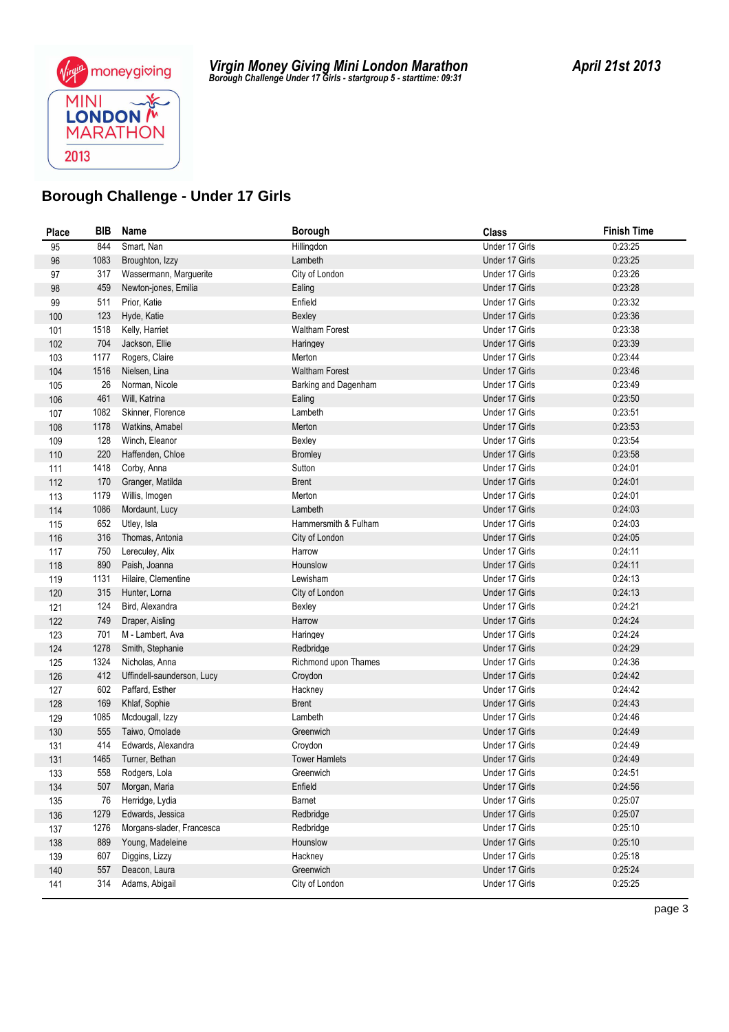

| <b>Place</b> | BIB         | Name                               | Borough               | <b>Class</b>                     | <b>Finish Time</b> |
|--------------|-------------|------------------------------------|-----------------------|----------------------------------|--------------------|
| 95           | 844         | Smart, Nan                         | Hillingdon            | Under 17 Girls                   | 0:23:25            |
| 96           | 1083        | Broughton, Izzy                    | Lambeth               | Under 17 Girls                   | 0:23:25            |
| 97           | 317         | Wassermann, Marguerite             | City of London        | Under 17 Girls                   | 0:23:26            |
| 98           | 459         | Newton-jones, Emilia               | Ealing                | Under 17 Girls                   | 0:23:28            |
| 99           | 511         | Prior, Katie                       | Enfield               | Under 17 Girls                   | 0:23:32            |
| 100          | 123         | Hyde, Katie                        | Bexley                | Under 17 Girls                   | 0:23:36            |
| 101          | 1518        | Kelly, Harriet                     | <b>Waltham Forest</b> | Under 17 Girls                   | 0:23:38            |
| 102          | 704         | Jackson, Ellie                     | Haringey              | Under 17 Girls                   | 0:23:39            |
| 103          | 1177        | Rogers, Claire                     | Merton                | Under 17 Girls                   | 0:23:44            |
| 104          | 1516        | Nielsen, Lina                      | <b>Waltham Forest</b> | Under 17 Girls                   | 0:23:46            |
| 105          | 26          | Norman, Nicole                     | Barking and Dagenham  | Under 17 Girls                   | 0:23:49            |
| 106          | 461         | Will, Katrina                      | Ealing                | Under 17 Girls                   | 0:23:50            |
| 107          | 1082        | Skinner, Florence                  | Lambeth               | Under 17 Girls                   | 0:23:51            |
| 108          | 1178        | Watkins, Amabel                    | Merton                | Under 17 Girls                   | 0:23:53            |
| 109          | 128         | Winch, Eleanor                     | Bexley                | Under 17 Girls                   | 0:23:54            |
| 110          | 220         | Haffenden, Chloe                   | <b>Bromley</b>        | Under 17 Girls                   | 0:23:58            |
| 111          | 1418        | Corby, Anna                        | Sutton                | Under 17 Girls                   | 0:24:01            |
| 112          | 170         | Granger, Matilda                   | <b>Brent</b>          | Under 17 Girls                   | 0:24:01            |
| 113          | 1179        | Willis, Imogen                     | Merton                | Under 17 Girls                   | 0:24:01            |
| 114          | 1086        | Mordaunt, Lucy                     | Lambeth               | Under 17 Girls                   | 0:24:03            |
| 115          | 652         | Utley, Isla                        | Hammersmith & Fulham  | Under 17 Girls                   | 0:24:03            |
| 116          | 316         | Thomas, Antonia                    | City of London        | Under 17 Girls                   | 0:24:05            |
| 117          | 750         | Lereculey, Alix                    | Harrow                | Under 17 Girls                   | 0:24:11            |
| 118          | 890         | Paish, Joanna                      | Hounslow              | Under 17 Girls                   | 0:24:11            |
| 119          | 1131        | Hilaire, Clementine                | Lewisham              | Under 17 Girls                   | 0:24:13            |
| 120          | 315         | Hunter, Lorna                      | City of London        | Under 17 Girls                   | 0.24:13            |
| 121          | 124         | Bird, Alexandra                    | Bexley                | Under 17 Girls                   | 0:24:21            |
| 122          | 749         | Draper, Aisling                    | Harrow                | Under 17 Girls                   | 0:24:24            |
| 123          | 701<br>1278 | M - Lambert, Ava                   | Haringey              | Under 17 Girls<br>Under 17 Girls | 0:24:24<br>0:24:29 |
| 124          | 1324        | Smith, Stephanie<br>Nicholas, Anna | Redbridge             | Under 17 Girls                   | 0.24:36            |
| 125<br>126   | 412         | Uffindell-saunderson, Lucy         | Richmond upon Thames  | Under 17 Girls                   | 0.24.42            |
|              | 602         | Paffard, Esther                    | Croydon<br>Hackney    | Under 17 Girls                   | 0:24:42            |
| 127          | 169         | Khlaf, Sophie                      | <b>Brent</b>          | Under 17 Girls                   | 0.24.43            |
| 128<br>129   | 1085        | Mcdougall, Izzy                    | Lambeth               | Under 17 Girls                   | 0.24:46            |
| 130          | 555         | Taiwo, Omolade                     | Greenwich             | Under 17 Girls                   | 0.24.49            |
| 131          | 414         | Edwards, Alexandra                 | Croydon               | Under 17 Girls                   | 0:24:49            |
| 131          | 1465        | Turner, Bethan                     | <b>Tower Hamlets</b>  | Under 17 Girls                   | 0.24.49            |
| 133          | 558         | Rodgers, Lola                      | Greenwich             | Under 17 Girls                   | 0:24:51            |
| 134          | 507         | Morgan, Maria                      | Enfield               | Under 17 Girls                   | 0:24:56            |
| 135          | 76          | Herridge, Lydia                    | Barnet                | Under 17 Girls                   | 0:25:07            |
| 136          | 1279        | Edwards, Jessica                   | Redbridge             | Under 17 Girls                   | 0.25:07            |
| 137          | 1276        | Morgans-slader, Francesca          | Redbridge             | Under 17 Girls                   | 0:25:10            |
| 138          | 889         | Young, Madeleine                   | Hounslow              | Under 17 Girls                   | 0:25:10            |
| 139          | 607         | Diggins, Lizzy                     | Hackney               | Under 17 Girls                   | 0:25:18            |
| 140          | 557         | Deacon, Laura                      | Greenwich             | Under 17 Girls                   | 0:25:24            |
| 141          | 314         | Adams, Abigail                     | City of London        | Under 17 Girls                   | 0.25:25            |
|              |             |                                    |                       |                                  |                    |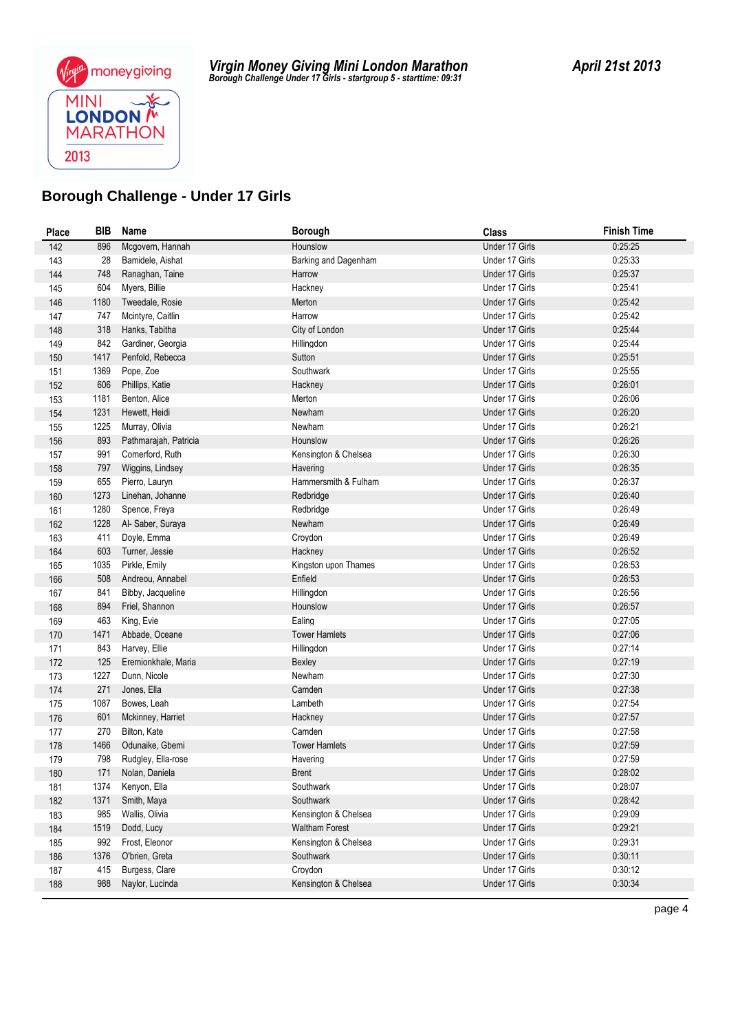

| <b>Place</b> | BIB  | Name                  | <b>Borough</b>        | <b>Class</b>   | <b>Finish Time</b> |
|--------------|------|-----------------------|-----------------------|----------------|--------------------|
| 142          | 896  | Mcgovern, Hannah      | Hounslow              | Under 17 Girls | 0:25:25            |
| 143          | 28   | Bamidele, Aishat      | Barking and Dagenham  | Under 17 Girls | 0:25:33            |
| 144          | 748  | Ranaghan, Taine       | Harrow                | Under 17 Girls | 0:25:37            |
| 145          | 604  | Myers, Billie         | Hackney               | Under 17 Girls | 0:25:41            |
| 146          | 1180 | Tweedale, Rosie       | Merton                | Under 17 Girls | 0:25:42            |
| 147          | 747  | Mcintyre, Caitlin     | Harrow                | Under 17 Girls | 0:25:42            |
| 148          | 318  | Hanks, Tabitha        | City of London        | Under 17 Girls | 0.25.44            |
| 149          | 842  | Gardiner, Georgia     | Hillingdon            | Under 17 Girls | 0.25.44            |
| 150          | 1417 | Penfold, Rebecca      | Sutton                | Under 17 Girls | 0:25:51            |
| 151          | 1369 | Pope, Zoe             | Southwark             | Under 17 Girls | 0:25:55            |
| 152          | 606  | Phillips, Katie       | Hackney               | Under 17 Girls | 0:26:01            |
| 153          | 1181 | Benton, Alice         | Merton                | Under 17 Girls | 0:26:06            |
| 154          | 1231 | Hewett, Heidi         | Newham                | Under 17 Girls | 0:26:20            |
| 155          | 1225 | Murray, Olivia        | Newham                | Under 17 Girls | 0:26:21            |
| 156          | 893  | Pathmarajah, Patricia | Hounslow              | Under 17 Girls | 0:26:26            |
| 157          | 991  | Comerford, Ruth       | Kensington & Chelsea  | Under 17 Girls | 0:26:30            |
| 158          | 797  | Wiggins, Lindsey      | Havering              | Under 17 Girls | 0:26:35            |
| 159          | 655  | Pierro, Lauryn        | Hammersmith & Fulham  | Under 17 Girls | 0:26:37            |
| 160          | 1273 | Linehan, Johanne      | Redbridge             | Under 17 Girls | 0.26:40            |
| 161          | 1280 | Spence, Freya         | Redbridge             | Under 17 Girls | 0:26:49            |
| 162          | 1228 | Al- Saber, Suraya     | Newham                | Under 17 Girls | 0.26:49            |
| 163          | 411  | Doyle, Emma           | Croydon               | Under 17 Girls | 0:26:49            |
| 164          | 603  | Turner, Jessie        | Hackney               | Under 17 Girls | 0:26:52            |
| 165          | 1035 | Pirkle, Emily         | Kingston upon Thames  | Under 17 Girls | 0.26:53            |
| 166          | 508  | Andreou, Annabel      | Enfield               | Under 17 Girls | 0:26:53            |
| 167          | 841  | Bibby, Jacqueline     | Hillingdon            | Under 17 Girls | 0:26:56            |
| 168          | 894  | Friel, Shannon        | Hounslow              | Under 17 Girls | 0.26:57            |
| 169          | 463  | King, Evie            | Ealing                | Under 17 Girls | 0.27:05            |
| 170          | 1471 | Abbade, Oceane        | <b>Tower Hamlets</b>  | Under 17 Girls | 0:27:06            |
| 171          | 843  | Harvey, Ellie         | Hillingdon            | Under 17 Girls | 0:27:14            |
| 172          | 125  | Eremionkhale, Maria   | Bexley                | Under 17 Girls | 0:27:19            |
| 173          | 1227 | Dunn, Nicole          | Newham                | Under 17 Girls | 0:27:30            |
| 174          | 271  | Jones, Ella           | Camden                | Under 17 Girls | 0.27:38            |
| 175          | 1087 | Bowes, Leah           | Lambeth               | Under 17 Girls | 0.27:54            |
| 176          | 601  | Mckinney, Harriet     | Hackney               | Under 17 Girls | 0.27:57            |
| 177          | 270  | Bilton, Kate          | Camden                | Under 17 Girls | 0:27:58            |
| 178          | 1466 | Odunaike, Gbemi       | <b>Tower Hamlets</b>  | Under 17 Girls | 0:27:59            |
| 179          | 798  | Rudgley, Ella-rose    | Havering              | Under 17 Girls | 0:27:59            |
| 180          | 171  | Nolan, Daniela        | <b>Brent</b>          | Under 17 Girls | 0.28:02            |
| 181          | 1374 | Kenyon, Ella          | Southwark             | Under 17 Girls | 0.28:07            |
| 182          | 1371 | Smith, Maya           | Southwark             | Under 17 Girls | 0.28.42            |
| 183          | 985  | Wallis, Olivia        | Kensington & Chelsea  | Under 17 Girls | 0:29:09            |
| 184          | 1519 | Dodd, Lucy            | <b>Waltham Forest</b> | Under 17 Girls | 0:29:21            |
| 185          | 992  | Frost, Eleonor        | Kensington & Chelsea  | Under 17 Girls | 0:29:31            |
| 186          | 1376 | O'brien, Greta        | Southwark             | Under 17 Girls | 0:30:11            |
| 187          | 415  | Burgess, Clare        | Croydon               | Under 17 Girls | 0:30:12            |
| 188          | 988  | Naylor, Lucinda       | Kensington & Chelsea  | Under 17 Girls | 0:30:34            |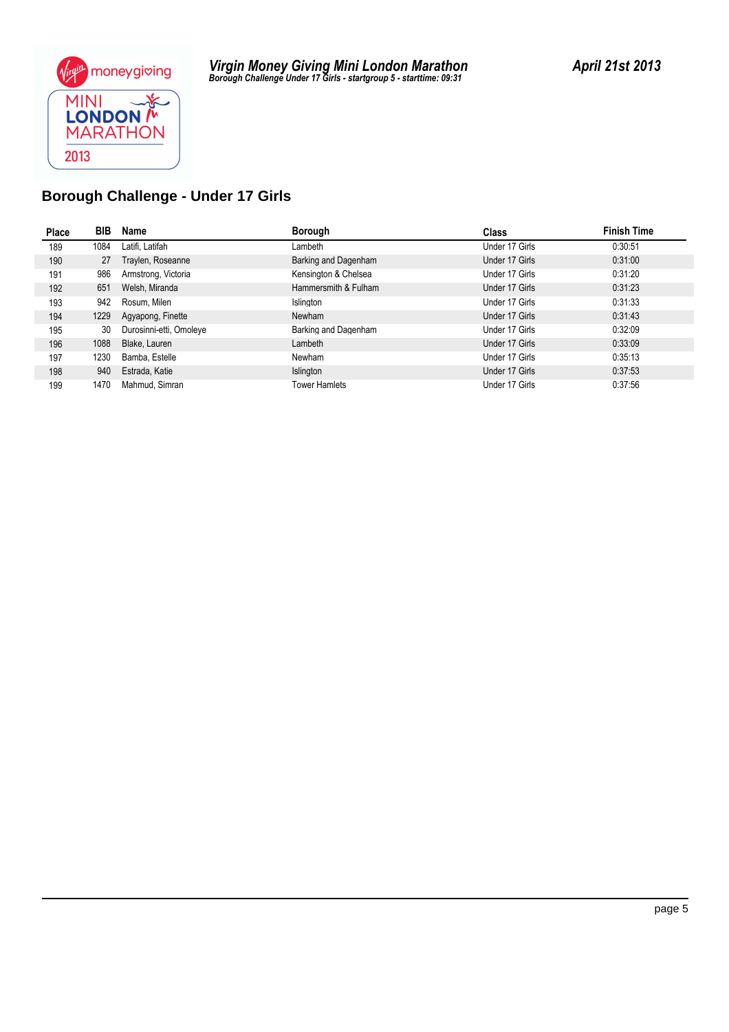

| Place | BIB  | Name                    | <b>Borough</b>       | <b>Class</b>   | <b>Finish Time</b> |
|-------|------|-------------------------|----------------------|----------------|--------------------|
| 189   | 1084 | Latifi, Latifah         | Lambeth              | Under 17 Girls | 0:30:51            |
| 190   | 27   | Traylen, Roseanne       | Barking and Dagenham | Under 17 Girls | 0:31:00            |
| 191   | 986  | Armstrong, Victoria     | Kensington & Chelsea | Under 17 Girls | 0:31:20            |
| 192   | 651  | Welsh, Miranda          | Hammersmith & Fulham | Under 17 Girls | 0:31:23            |
| 193   | 942  | Rosum, Milen            | Islington            | Under 17 Girls | 0:31:33            |
| 194   | 1229 | Agyapong, Finette       | Newham               | Under 17 Girls | 0:31:43            |
| 195   | 30   | Durosinni-etti, Omoleye | Barking and Dagenham | Under 17 Girls | 0:32:09            |
| 196   | 1088 | Blake, Lauren           | Lambeth              | Under 17 Girls | 0:33:09            |
| 197   | 1230 | Bamba, Estelle          | Newham               | Under 17 Girls | 0:35:13            |
| 198   | 940  | Estrada, Katie          | Islington            | Under 17 Girls | 0:37:53            |
| 199   | 1470 | Mahmud, Simran          | <b>Tower Hamlets</b> | Under 17 Girls | 0.37:56            |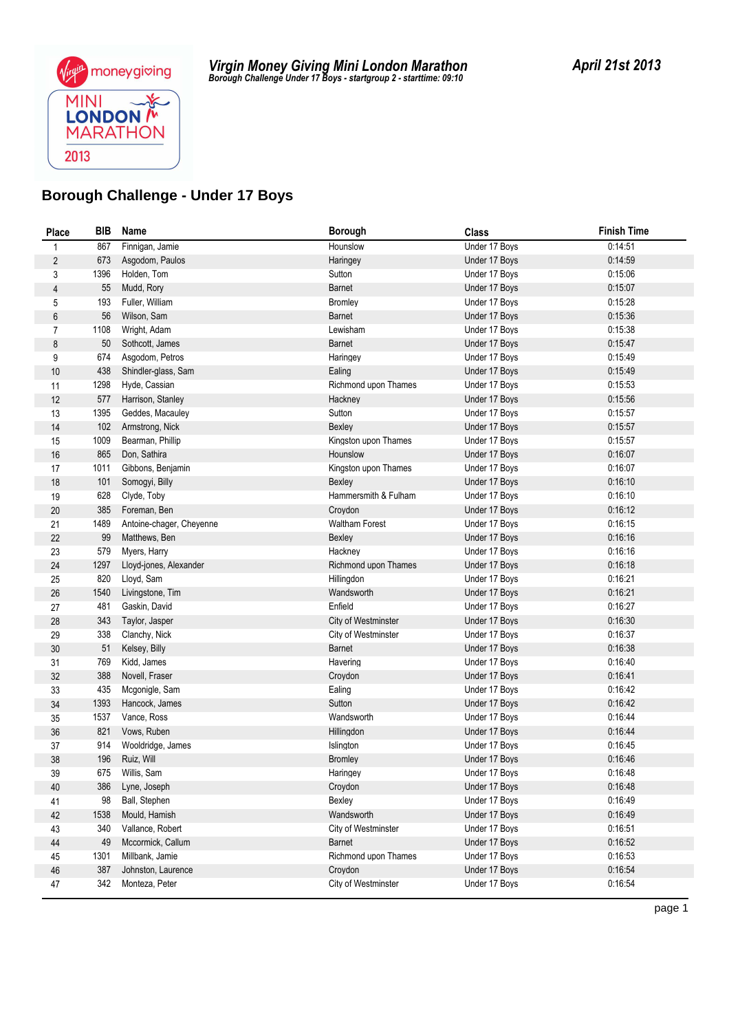

| Place          | <b>BIB</b> | Name                     | <b>Borough</b>                    | <b>Class</b>                   | <b>Finish Time</b> |
|----------------|------------|--------------------------|-----------------------------------|--------------------------------|--------------------|
| 1              | 867        | Finnigan, Jamie          | Hounslow                          | Under 17 Boys                  | 0:14:51            |
| $\sqrt{2}$     | 673        | Asgodom, Paulos          | Haringey                          | Under 17 Boys                  | 0:14:59            |
| 3              | 1396       | Holden, Tom              | Sutton                            | Under 17 Boys                  | 0:15:06            |
| 4              | 55         | Mudd, Rory               | <b>Barnet</b>                     | Under 17 Boys                  | 0:15:07            |
| 5              | 193        | Fuller, William          | <b>Bromley</b>                    | Under 17 Boys                  | 0:15:28            |
| 6              | 56         | Wilson, Sam              | <b>Barnet</b>                     | Under 17 Boys                  | 0:15:36            |
| $\overline{7}$ | 1108       | Wright, Adam             | Lewisham                          | Under 17 Boys                  | 0:15:38            |
| 8              | 50         | Sothcott, James          | <b>Barnet</b>                     | Under 17 Boys                  | 0:15:47            |
| 9              | 674        | Asgodom, Petros          | Haringey                          | Under 17 Boys                  | 0:15:49            |
| $10$           | 438        | Shindler-glass, Sam      | Ealing                            | Under 17 Boys                  | 0:15:49            |
| 11             | 1298       | Hyde, Cassian            | Richmond upon Thames              | Under 17 Boys                  | 0:15:53            |
| 12             | 577        | Harrison, Stanley        | Hackney                           | Under 17 Boys                  | 0:15:56            |
| 13             | 1395       | Geddes, Macauley         | Sutton                            | Under 17 Boys                  | 0:15:57            |
| 14             | 102        | Armstrong, Nick          | Bexley                            | Under 17 Boys                  | 0:15:57            |
| 15             | 1009       | Bearman, Phillip         | Kingston upon Thames              | Under 17 Boys                  | 0:15:57            |
| 16             | 865        | Don, Sathira             | Hounslow                          | Under 17 Boys                  | 0:16:07            |
| 17             | 1011       | Gibbons, Benjamin        | Kingston upon Thames              | Under 17 Boys                  | 0:16:07            |
| 18             | 101        | Somogyi, Billy           | Bexley                            | Under 17 Boys                  | 0:16:10            |
| 19             | 628        | Clyde, Toby              | Hammersmith & Fulham              | Under 17 Boys                  | 0:16:10            |
| 20             | 385        | Foreman, Ben             | Croydon                           | Under 17 Boys                  | 0:16:12            |
| 21             | 1489       | Antoine-chager, Cheyenne | <b>Waltham Forest</b>             | Under 17 Boys                  | 0:16:15            |
| 22             | 99         | Matthews, Ben            | Bexley                            | Under 17 Boys                  | 0:16:16            |
| 23             | 579        | Myers, Harry             | Hackney                           | Under 17 Boys                  | 0:16:16            |
| 24             | 1297       | Lloyd-jones, Alexander   | Richmond upon Thames              | Under 17 Boys                  | 0:16:18            |
| 25             | 820        | Lloyd, Sam               | Hillingdon                        | Under 17 Boys                  | 0:16:21            |
| 26             | 1540       | Livingstone, Tim         | Wandsworth                        | Under 17 Boys                  | 0:16:21            |
| 27             | 481        | Gaskin, David            | Enfield                           | Under 17 Boys                  | 0:16:27            |
| 28             | 343        | Taylor, Jasper           | City of Westminster               | Under 17 Boys                  | 0:16:30            |
| 29             | 338        | Clanchy, Nick            | City of Westminster               | Under 17 Boys                  | 0:16:37            |
| 30             | 51         | Kelsey, Billy            | <b>Barnet</b>                     | Under 17 Boys                  | 0:16:38            |
| 31             | 769        | Kidd, James              | Havering                          | Under 17 Boys                  | 0:16:40            |
| 32             | 388        | Novell, Fraser           | Croydon                           | Under 17 Boys                  | 0:16:41            |
| 33             | 435        | Mcgonigle, Sam           | Ealing                            | Under 17 Boys                  | 0:16:42            |
| 34             | 1393       | Hancock, James           | Sutton                            | Under 17 Boys                  | 0:16:42            |
| 35             | 1537       | Vance, Ross              | Wandsworth                        | Under 17 Boys                  | 0:16:44            |
| 36             | 821        | Vows, Ruben              | Hillingdon                        | Under 17 Boys                  | 0:16:44            |
| 37             | 914        | Wooldridge, James        | Islington                         | Under 17 Boys                  | 0:16:45            |
| 38             | 196        | Ruiz, Will               | <b>Bromley</b>                    | Under 17 Boys                  | 0:16:46            |
| 39             | 675        | Willis, Sam              | Haringey                          | Under 17 Boys                  | 0:16:48            |
| 40             | 386        | Lyne, Joseph             | Croydon                           | Under 17 Boys                  | 0.16:48            |
| 41             | 98         | Ball, Stephen            | Bexley                            | Under 17 Boys                  | 0:16:49            |
| 42             | 1538       | Mould, Hamish            | Wandsworth<br>City of Westminster | Under 17 Boys<br>Under 17 Boys | 0.16.49<br>0:16:51 |
| 43             | 340        | Vallance, Robert         |                                   |                                |                    |
| 44             | 49         | Mccormick, Callum        | <b>Barnet</b>                     | Under 17 Boys                  | 0:16:52            |
| 45             | 1301       | Millbank, Jamie          | Richmond upon Thames              | Under 17 Boys                  | 0:16:53            |
| 46             | 387        | Johnston, Laurence       | Croydon                           | Under 17 Boys                  | 0:16:54            |
| 47             | 342        | Monteza, Peter           | City of Westminster               | Under 17 Boys                  | 0.16:54            |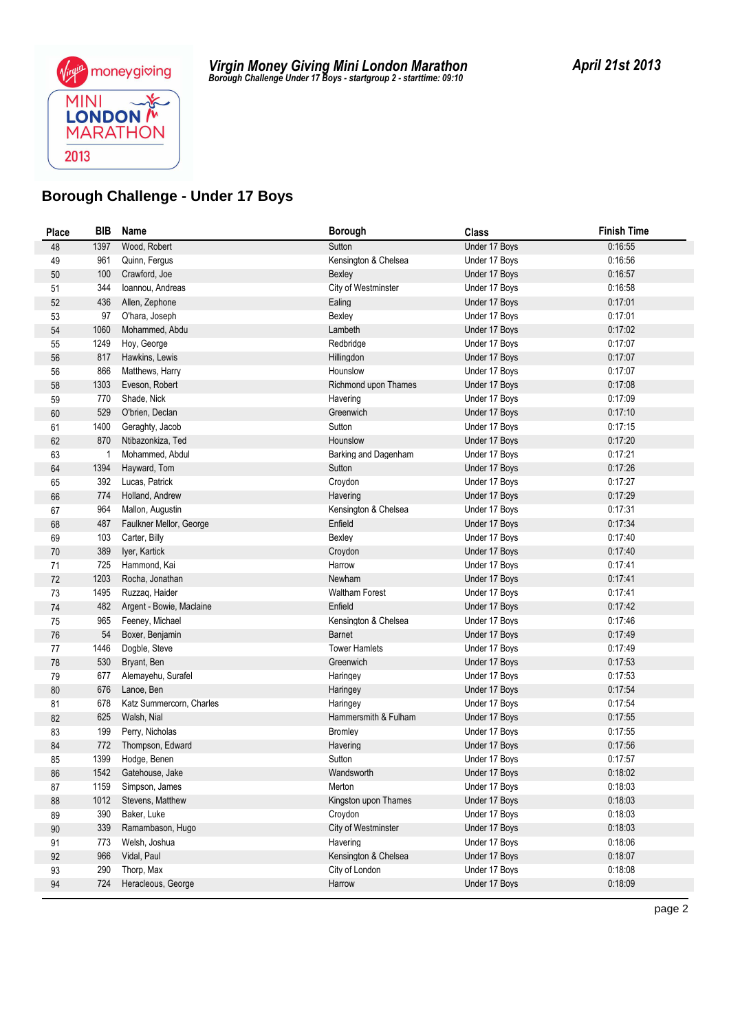

| Place  | BIB  | Name                     | Borough               | <b>Class</b>  | <b>Finish Time</b> |
|--------|------|--------------------------|-----------------------|---------------|--------------------|
| 48     | 1397 | Wood, Robert             | Sutton                | Under 17 Boys | 0:16:55            |
| 49     | 961  | Quinn, Fergus            | Kensington & Chelsea  | Under 17 Boys | 0:16:56            |
| 50     | 100  | Crawford, Joe            | Bexley                | Under 17 Boys | 0:16:57            |
| 51     | 344  | Ioannou, Andreas         | City of Westminster   | Under 17 Boys | 0:16:58            |
| 52     | 436  | Allen, Zephone           | Ealing                | Under 17 Boys | 0:17:01            |
| 53     | 97   | O'hara, Joseph           | Bexley                | Under 17 Boys | 0:17:01            |
| 54     | 1060 | Mohammed, Abdu           | Lambeth               | Under 17 Boys | 0:17:02            |
| 55     | 1249 | Hoy, George              | Redbridge             | Under 17 Boys | 0:17:07            |
| 56     | 817  | Hawkins, Lewis           | Hillingdon            | Under 17 Boys | 0:17:07            |
| 56     | 866  | Matthews, Harry          | Hounslow              | Under 17 Boys | 0:17:07            |
| 58     | 1303 | Eveson, Robert           | Richmond upon Thames  | Under 17 Bovs | 0:17:08            |
| 59     | 770  | Shade, Nick              | Havering              | Under 17 Boys | 0:17:09            |
| 60     | 529  | O'brien, Declan          | Greenwich             | Under 17 Boys | 0:17:10            |
| 61     | 1400 | Geraghty, Jacob          | Sutton                | Under 17 Boys | 0:17:15            |
| 62     | 870  | Ntibazonkiza, Ted        | Hounslow              | Under 17 Boys | 0:17:20            |
| 63     |      | Mohammed, Abdul          | Barking and Dagenham  | Under 17 Boys | 0:17:21            |
| 64     | 1394 | Hayward, Tom             | Sutton                | Under 17 Boys | 0:17:26            |
| 65     | 392  | Lucas, Patrick           | Croydon               | Under 17 Boys | 0:17:27            |
| 66     | 774  | Holland, Andrew          | Havering              | Under 17 Boys | 0:17:29            |
| 67     | 964  | Mallon, Augustin         | Kensington & Chelsea  | Under 17 Boys | 0:17:31            |
| 68     | 487  | Faulkner Mellor, George  | Enfield               | Under 17 Boys | 0:17:34            |
| 69     | 103  | Carter, Billy            | Bexley                | Under 17 Boys | 0:17:40            |
| $70\,$ | 389  | Iyer, Kartick            | Croydon               | Under 17 Boys | 0:17:40            |
| 71     | 725  | Hammond, Kai             | Harrow                | Under 17 Boys | 0:17:41            |
| 72     | 1203 | Rocha, Jonathan          | Newham                | Under 17 Boys | 0:17:41            |
| 73     | 1495 | Ruzzag, Haider           | <b>Waltham Forest</b> | Under 17 Boys | 0:17:41            |
| 74     | 482  | Argent - Bowie, Maclaine | Enfield               | Under 17 Boys | 0.17:42            |
| 75     | 965  | Feeney, Michael          | Kensington & Chelsea  | Under 17 Boys | 0:17:46            |
| 76     | 54   | Boxer, Benjamin          | <b>Barnet</b>         | Under 17 Boys | 0:17:49            |
| 77     | 1446 | Dogble, Steve            | <b>Tower Hamlets</b>  | Under 17 Boys | 0:17:49            |
| 78     | 530  | Bryant, Ben              | Greenwich             | Under 17 Boys | 0:17:53            |
| 79     | 677  | Alemayehu, Surafel       | Haringey              | Under 17 Boys | 0:17:53            |
| 80     | 676  | Lanoe, Ben               | Haringey              | Under 17 Boys | 0:17:54            |
| 81     | 678  | Katz Summercorn, Charles | Haringey              | Under 17 Boys | 0.17:54            |
| 82     | 625  | Walsh, Nial              | Hammersmith & Fulham  | Under 17 Boys | 0:17:55            |
| 83     | 199  | Perry, Nicholas          | <b>Bromley</b>        | Under 17 Boys | 0.17:55            |
| 84     | 772  | Thompson, Edward         | Havering              | Under 17 Boys | 0:17:56            |
| 85     | 1399 | Hodge, Benen             | Sutton                | Under 17 Boys | 0:17:57            |
| 86     | 1542 | Gatehouse, Jake          | Wandsworth            | Under 17 Boys | 0:18:02            |
| 87     | 1159 | Simpson, James           | Merton                | Under 17 Boys | 0.18.03            |
| 88     | 1012 | Stevens, Matthew         | Kingston upon Thames  | Under 17 Boys | 0:18:03            |
| 89     | 390  | Baker, Luke              | Croydon               | Under 17 Boys | 0:18:03            |
| $90\,$ | 339  | Ramambason, Hugo         | City of Westminster   | Under 17 Boys | 0:18:03            |
| 91     | 773  | Welsh, Joshua            | Havering              | Under 17 Boys | 0:18:06            |
| 92     | 966  | Vidal, Paul              | Kensington & Chelsea  | Under 17 Boys | 0:18:07            |
| 93     | 290  | Thorp, Max               | City of London        | Under 17 Boys | 0:18:08            |
| 94     | 724  | Heracleous, George       | Harrow                | Under 17 Boys | 0.18.09            |
|        |      |                          |                       |               |                    |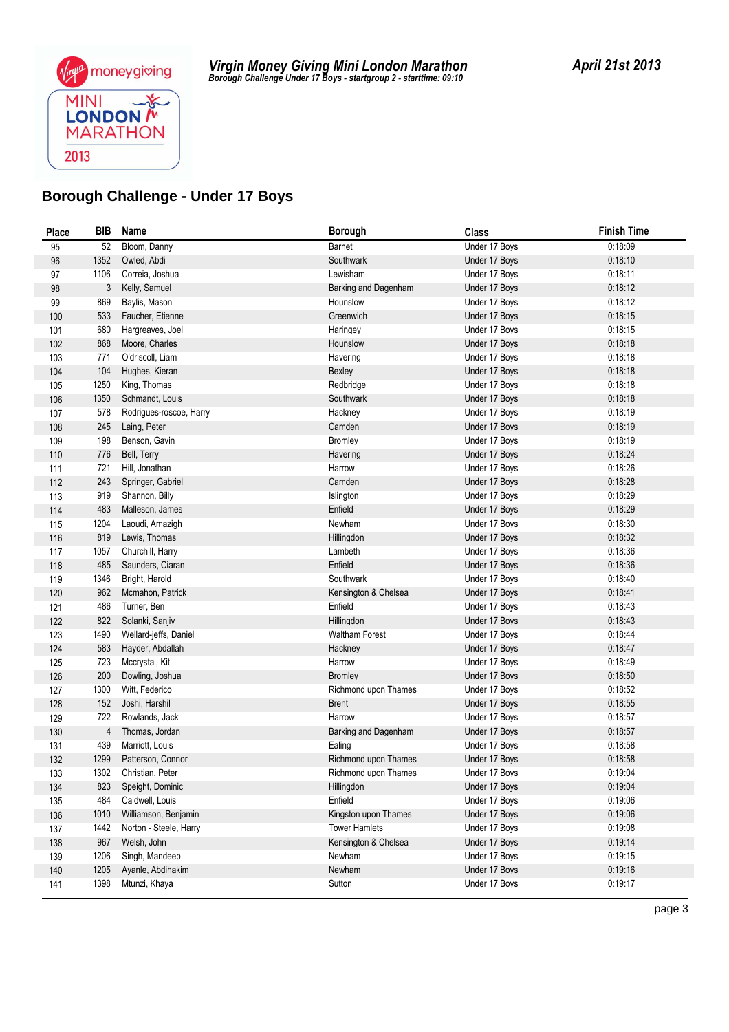

| <b>Place</b> | <b>BIB</b>  | Name                               | <b>Borough</b>                   | <b>Class</b>                   | <b>Finish Time</b> |
|--------------|-------------|------------------------------------|----------------------------------|--------------------------------|--------------------|
| 95           | 52          | Bloom, Danny                       | Barnet                           | Under 17 Boys                  | 0:18:09            |
| 96           | 1352        | Owled, Abdi                        | Southwark                        | Under 17 Boys                  | 0:18:10            |
| 97           | 1106        | Correia, Joshua                    | Lewisham                         | Under 17 Boys                  | 0:18:11            |
| 98           | 3           | Kelly, Samuel                      | Barking and Dagenham             | Under 17 Boys                  | 0:18:12            |
| 99           | 869         | Baylis, Mason                      | Hounslow                         | Under 17 Boys                  | 0:18:12            |
| 100          | 533         | Faucher, Etienne                   | Greenwich                        | Under 17 Boys                  | 0:18:15            |
| 101          | 680         | Hargreaves, Joel                   | Haringey                         | Under 17 Boys                  | 0:18:15            |
| 102          | 868         | Moore, Charles                     | Hounslow                         | Under 17 Boys                  | 0:18:18            |
| 103          | 771         | O'driscoll, Liam                   | Havering                         | Under 17 Boys                  | 0:18:18            |
| 104          | 104         | Hughes, Kieran                     | Bexley                           | Under 17 Boys                  | 0:18:18            |
| 105          | 1250        | King, Thomas                       | Redbridge                        | Under 17 Boys                  | 0:18:18            |
| 106          | 1350        | Schmandt, Louis                    | Southwark                        | Under 17 Boys                  | 0:18:18            |
| 107          | 578         | Rodrigues-roscoe, Harry            | Hackney                          | Under 17 Boys                  | 0:18:19            |
| 108          | 245         | Laing, Peter                       | Camden                           | Under 17 Boys                  | 0:18:19            |
| 109          | 198         | Benson, Gavin                      | Bromley                          | Under 17 Boys                  | 0:18:19            |
| 110          | 776         | Bell, Terry                        | Havering                         | Under 17 Boys                  | 0:18:24            |
| 111          | 721         | Hill, Jonathan                     | Harrow                           | Under 17 Boys                  | 0:18:26            |
| 112          | 243         | Springer, Gabriel                  | Camden                           | Under 17 Boys                  | 0:18:28            |
| 113          | 919         | Shannon, Billy                     | Islington                        | Under 17 Boys                  | 0:18:29            |
| 114          | 483         | Malleson, James                    | Enfield                          | Under 17 Boys                  | 0:18:29            |
| 115          | 1204        | Laoudi, Amazigh                    | Newham                           | Under 17 Boys                  | 0:18:30            |
| 116          | 819         | Lewis, Thomas                      | Hillingdon                       | Under 17 Boys                  | 0:18:32            |
| 117          | 1057        | Churchill, Harry                   | Lambeth                          | Under 17 Boys                  | 0:18:36            |
| 118          | 485         | Saunders, Ciaran                   | Enfield                          | Under 17 Boys                  | 0:18:36            |
| 119          | 1346        | Bright, Harold                     | Southwark                        | Under 17 Boys                  | 0:18:40            |
| 120          | 962         | Mcmahon, Patrick                   | Kensington & Chelsea             | Under 17 Boys                  | 0:18:41            |
| 121          | 486         | Turner, Ben                        | Enfield                          | Under 17 Boys                  | 0:18:43            |
| 122          | 822         | Solanki, Sanjiv                    | Hillingdon                       | Under 17 Boys                  | 0:18:43<br>0.18.44 |
| 123          | 1490<br>583 | Wellard-jeffs, Daniel              | <b>Waltham Forest</b><br>Hackney | Under 17 Boys<br>Under 17 Boys | 0.18.47            |
| 124          | 723         | Hayder, Abdallah<br>Mccrystal, Kit | Harrow                           | Under 17 Boys                  | 0:18:49            |
| 125<br>126   | 200         | Dowling, Joshua                    | <b>Bromley</b>                   | Under 17 Boys                  | 0:18:50            |
|              | 1300        | Witt, Federico                     | Richmond upon Thames             | Under 17 Boys                  | 0:18:52            |
| 127<br>128   | 152         | Joshi, Harshil                     | <b>Brent</b>                     | Under 17 Boys                  | 0:18:55            |
| 129          | 722         | Rowlands, Jack                     | Harrow                           | Under 17 Boys                  | 0:18:57            |
| 130          | 4           | Thomas, Jordan                     | Barking and Dagenham             | Under 17 Boys                  | 0:18:57            |
| 131          | 439         | Marriott, Louis                    | Ealing                           | Under 17 Boys                  | 0:18:58            |
| 132          | 1299        | Patterson, Connor                  | Richmond upon Thames             | Under 17 Boys                  | 0:18:58            |
| 133          | 1302        | Christian, Peter                   | Richmond upon Thames             | Under 17 Bovs                  | 0:19:04            |
| 134          | 823         | Speight, Dominic                   | Hillingdon                       | Under 17 Boys                  | 0:19:04            |
| 135          | 484         | Caldwell, Louis                    | Enfield                          | Under 17 Boys                  | 0:19:06            |
| 136          | 1010        | Williamson, Benjamin               | Kingston upon Thames             | Under 17 Boys                  | 0.19.06            |
| 137          | 1442        | Norton - Steele, Harry             | <b>Tower Hamlets</b>             | Under 17 Boys                  | 0:19:08            |
| 138          | 967         | Welsh, John                        | Kensington & Chelsea             | Under 17 Boys                  | 0:19:14            |
| 139          | 1206        | Singh, Mandeep                     | Newham                           | Under 17 Boys                  | 0:19:15            |
| 140          | 1205        | Ayanle, Abdihakim                  | Newham                           | Under 17 Boys                  | 0:19:16            |
| 141          | 1398        | Mtunzi, Khaya                      | Sutton                           | Under 17 Boys                  | 0:19:17            |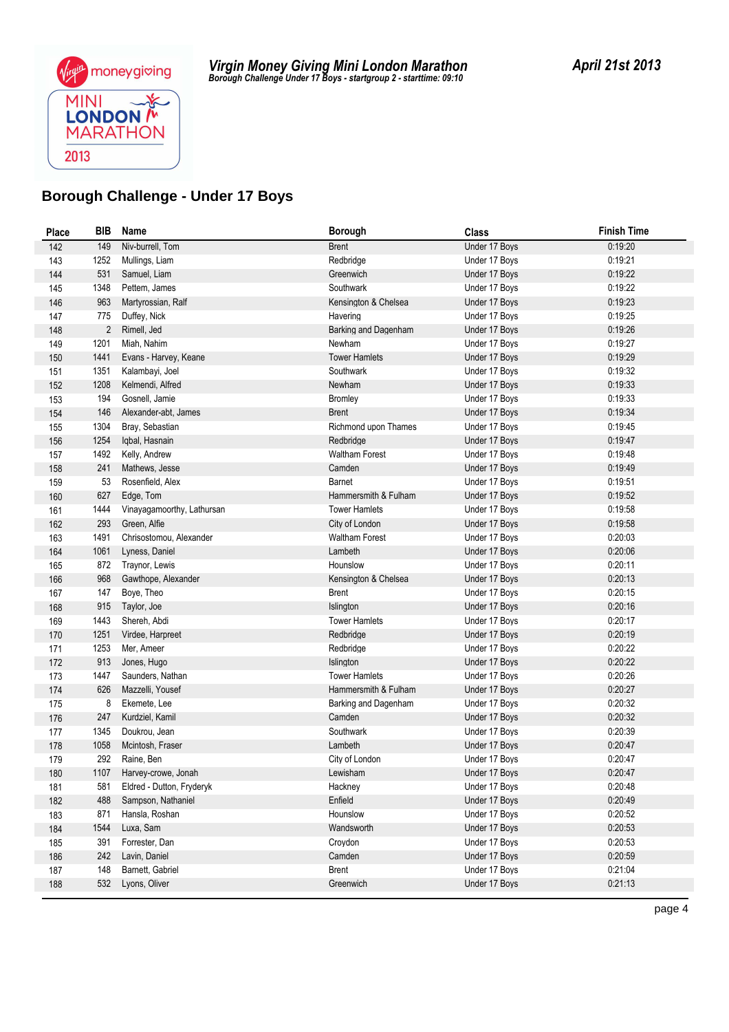

| <b>Place</b> | <b>BIB</b>     | Name                                             | <b>Borough</b>            | <b>Class</b>                   | <b>Finish Time</b> |
|--------------|----------------|--------------------------------------------------|---------------------------|--------------------------------|--------------------|
| 142          | 149            | Niv-burrell, Tom                                 | <b>Brent</b>              | Under 17 Boys                  | 0:19:20            |
| 143          | 1252           | Mullings, Liam                                   | Redbridge                 | Under 17 Boys                  | 0:19:21            |
| 144          | 531            | Samuel, Liam                                     | Greenwich                 | Under 17 Boys                  | 0:19:22            |
| 145          | 1348           | Pettem, James                                    | Southwark                 | Under 17 Boys                  | 0:19:22            |
| 146          | 963            | Martyrossian, Ralf                               | Kensington & Chelsea      | Under 17 Boys                  | 0:19:23            |
| 147          | 775            | Duffey, Nick                                     | Havering                  | Under 17 Boys                  | 0:19:25            |
| 148          | $\overline{2}$ | Rimell, Jed                                      | Barking and Dagenham      | Under 17 Boys                  | 0:19:26            |
| 149          | 1201           | Miah, Nahim                                      | Newham                    | Under 17 Boys                  | 0:19:27            |
| 150          | 1441           | Evans - Harvey, Keane                            | <b>Tower Hamlets</b>      | Under 17 Boys                  | 0:19:29            |
| 151          | 1351           | Kalambayi, Joel                                  | Southwark                 | Under 17 Boys                  | 0:19:32            |
| 152          | 1208           | Kelmendi, Alfred                                 | Newham                    | Under 17 Boys                  | 0:19:33            |
| 153          | 194            | Gosnell, Jamie                                   | <b>Bromley</b>            | Under 17 Boys                  | 0.19:33            |
| 154          | 146            | Alexander-abt, James                             | <b>Brent</b>              | Under 17 Boys                  | 0:19:34            |
| 155          | 1304           | Bray, Sebastian                                  | Richmond upon Thames      | Under 17 Boys                  | 0.19.45            |
| 156          | 1254           | Iqbal, Hasnain                                   | Redbridge                 | Under 17 Boys                  | 0:19:47            |
| 157          | 1492           | Kelly, Andrew                                    | <b>Waltham Forest</b>     | Under 17 Boys                  | 0:19:48            |
| 158          | 241            | Mathews, Jesse                                   | Camden                    | Under 17 Boys                  | 0:19:49            |
| 159          | 53             | Rosenfield, Alex                                 | Barnet                    | Under 17 Boys                  | 0:19:51            |
| 160          | 627            | Edge, Tom                                        | Hammersmith & Fulham      | Under 17 Boys                  | 0:19:52            |
| 161          | 1444           | Vinayagamoorthy, Lathursan                       | <b>Tower Hamlets</b>      | Under 17 Boys                  | 0:19:58            |
| 162          | 293            | Green, Alfie                                     | City of London            | Under 17 Boys                  | 0:19:58            |
| 163          | 1491           | Chrisostomou, Alexander                          | <b>Waltham Forest</b>     | Under 17 Boys                  | 0:20:03            |
| 164          | 1061           | Lyness, Daniel                                   | Lambeth                   | Under 17 Boys                  | 0:20:06            |
| 165          | 872            | Traynor, Lewis                                   | Hounslow                  | Under 17 Boys                  | 0:20:11            |
| 166          | 968            | Gawthope, Alexander                              | Kensington & Chelsea      | Under 17 Boys                  | 0:20:13            |
| 167          | 147            | Boye, Theo                                       | Brent                     | Under 17 Boys                  | 0:20:15            |
| 168          | 915            | Taylor, Joe                                      | Islington                 | Under 17 Boys                  | 0:20:16            |
| 169          | 1443           | Shereh, Abdi                                     | <b>Tower Hamlets</b>      | Under 17 Boys                  | 0:20:17            |
| 170          | 1251           | Virdee, Harpreet                                 | Redbridge                 | Under 17 Boys                  | 0:20:19            |
| 171          | 1253           | Mer, Ameer                                       | Redbridge                 | Under 17 Boys                  | 0:20:22            |
| 172          | 913            | Jones, Hugo                                      | Islington                 | Under 17 Boys                  | 0:20:22            |
| 173          | 1447           | Saunders, Nathan                                 | <b>Tower Hamlets</b>      | Under 17 Boys                  | 0:20:26            |
| 174          | 626            | Mazzelli, Yousef                                 | Hammersmith & Fulham      | Under 17 Boys                  | 0:20:27            |
| 175          | 8              | Ekemete, Lee                                     | Barking and Dagenham      | Under 17 Boys                  | 0:20:32            |
| 176          | 247            | Kurdziel, Kamil                                  | Camden                    | Under 17 Boys<br>Under 17 Boys | 0:20:32            |
| 177          | 1345           | Doukrou, Jean                                    | Southwark                 |                                | 0:20:39<br>0:20:47 |
| 178          | 1058<br>292    | Mcintosh, Fraser<br>Raine, Ben                   | Lambeth<br>City of London | Under 17 Boys<br>Under 17 Boys | 0:20:47            |
| 179          |                |                                                  |                           |                                |                    |
| 180          | 1107           | Harvey-crowe, Jonah<br>Eldred - Dutton, Fryderyk | Lewisham<br>Hackney       | Under 17 Boys<br>Under 17 Boys | 0:20:47<br>0:20:48 |
| 181          | 581<br>488     | Sampson, Nathaniel                               | Enfield                   | Under 17 Boys                  | 0:20:49            |
| 182          | 871            | Hansla, Roshan                                   | Hounslow                  | Under 17 Boys                  | 0:20:52            |
| 183<br>184   | 1544           | Luxa, Sam                                        | Wandsworth                | Under 17 Boys                  | 0:20:53            |
| 185          | 391            | Forrester, Dan                                   | Croydon                   | Under 17 Boys                  | 0:20:53            |
| 186          | 242            | Lavin, Daniel                                    | Camden                    | Under 17 Boys                  | 0:20:59            |
| 187          | 148            | Barnett, Gabriel                                 | <b>Brent</b>              | Under 17 Boys                  | 0:21:04            |
| 188          | 532            | Lyons, Oliver                                    | Greenwich                 | Under 17 Boys                  | 0:21:13            |
|              |                |                                                  |                           |                                |                    |